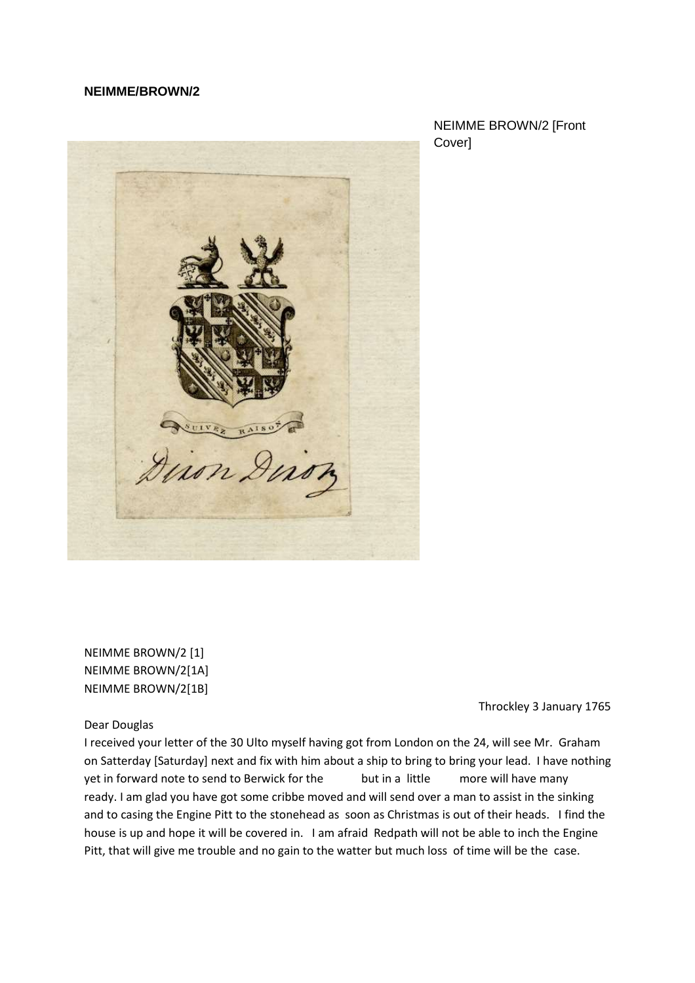### **NEIMME/BROWN/2**



NEIMME BROWN/2 [Front Cover]

NEIMME BROWN/2 [1] NEIMME BROWN/2[1A] NEIMME BROWN/2[1B]

Throckley 3 January 1765

Dear Douglas

I received your letter of the 30 Ulto myself having got from London on the 24, will see Mr. Graham on Satterday [Saturday] next and fix with him about a ship to bring to bring your lead. I have nothing yet in forward note to send to Berwick for the but in a little more will have many ready. I am glad you have got some cribbe moved and will send over a man to assist in the sinking and to casing the Engine Pitt to the stonehead as soon as Christmas is out of their heads. I find the house is up and hope it will be covered in. I am afraid Redpath will not be able to inch the Engine Pitt, that will give me trouble and no gain to the watter but much loss of time will be the case.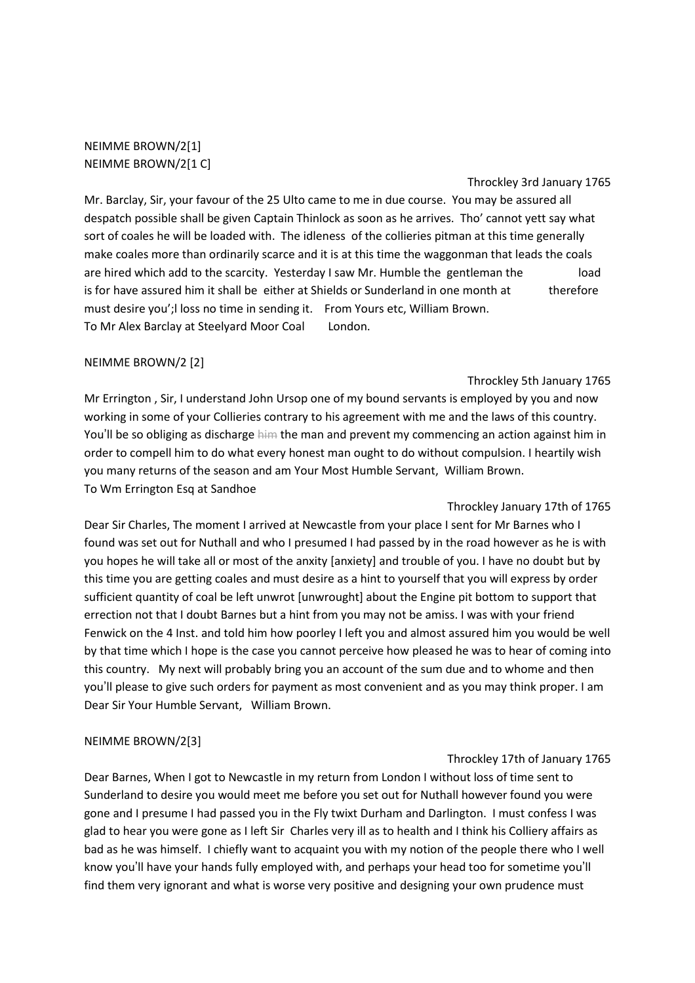NEIMME BROWN/2[1] NEIMME BROWN/2[1 C]

Throckley 3rd January 1765

Mr. Barclay, Sir, your favour of the 25 Ulto came to me in due course. You may be assured all despatch possible shall be given Captain Thinlock as soon as he arrives. Tho' cannot yett say what sort of coales he will be loaded with. The idleness of the collieries pitman at this time generally make coales more than ordinarily scarce and it is at this time the waggonman that leads the coals are hired which add to the scarcity. Yesterday I saw Mr. Humble the gentleman the load is for have assured him it shall be either at Shields or Sunderland in one month at therefore must desire you';l loss no time in sending it. From Yours etc, William Brown. To Mr Alex Barclay at Steelyard Moor Coal London.

### NEIMME BROWN/2 [2]

#### Throckley 5th January 1765

Mr Errington , Sir, I understand John Ursop one of my bound servants is employed by you and now working in some of your Collieries contrary to his agreement with me and the laws of this country. You'll be so obliging as discharge him the man and prevent my commencing an action against him in order to compell him to do what every honest man ought to do without compulsion. I heartily wish you many returns of the season and am Your Most Humble Servant, William Brown. To Wm Errington Esq at Sandhoe

Throckley January 17th of 1765 Dear Sir Charles, The moment I arrived at Newcastle from your place I sent for Mr Barnes who I found was set out for Nuthall and who I presumed I had passed by in the road however as he is with you hopes he will take all or most of the anxity [anxiety] and trouble of you. I have no doubt but by this time you are getting coales and must desire as a hint to yourself that you will express by order sufficient quantity of coal be left unwrot [unwrought] about the Engine pit bottom to support that errection not that I doubt Barnes but a hint from you may not be amiss. I was with your friend Fenwick on the 4 Inst. and told him how poorley I left you and almost assured him you would be well by that time which I hope is the case you cannot perceive how pleased he was to hear of coming into this country. My next will probably bring you an account of the sum due and to whome and then you'll please to give such orders for payment as most convenient and as you may think proper. I am Dear Sir Your Humble Servant, William Brown.

# NEIMME BROWN/2[3]

#### Throckley 17th of January 1765

Dear Barnes, When I got to Newcastle in my return from London I without loss of time sent to Sunderland to desire you would meet me before you set out for Nuthall however found you were gone and I presume I had passed you in the Fly twixt Durham and Darlington. I must confess I was glad to hear you were gone as I left Sir Charles very ill as to health and I think his Colliery affairs as bad as he was himself. I chiefly want to acquaint you with my notion of the people there who I well know you'll have your hands fully employed with, and perhaps your head too for sometime you'll find them very ignorant and what is worse very positive and designing your own prudence must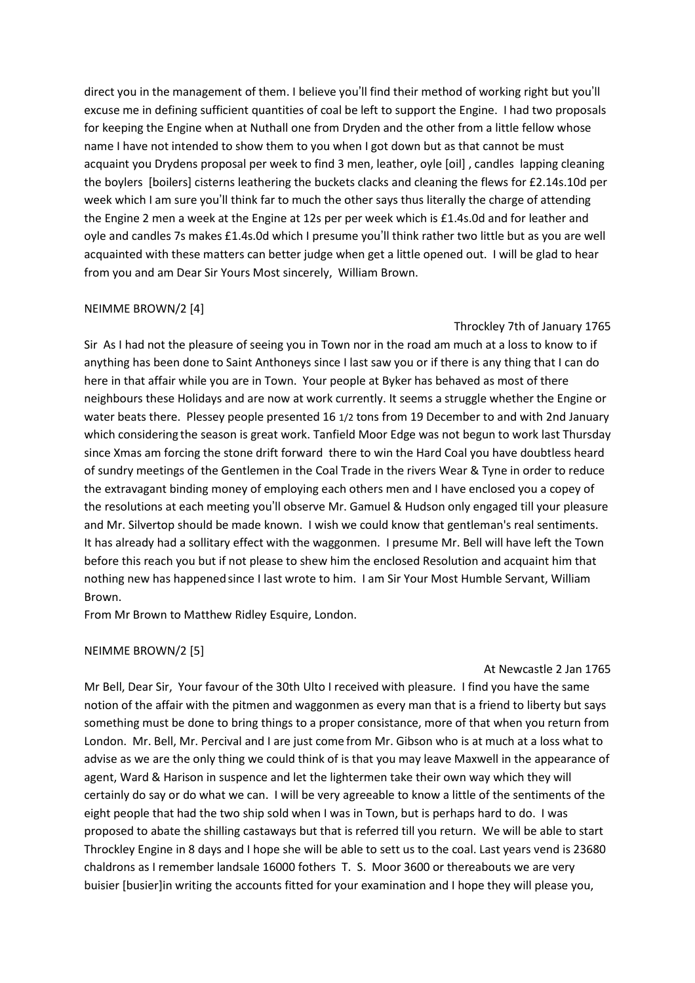direct you in the management of them. I believe you'll find their method of working right but you'll excuse me in defining sufficient quantities of coal be left to support the Engine. I had two proposals for keeping the Engine when at Nuthall one from Dryden and the other from a little fellow whose name I have not intended to show them to you when I got down but as that cannot be must acquaint you Drydens proposal per week to find 3 men, leather, oyle [oil] , candles lapping cleaning the boylers [boilers] cisterns leathering the buckets clacks and cleaning the flews for £2.14s.10d per week which I am sure you'll think far to much the other says thus literally the charge of attending the Engine 2 men a week at the Engine at 12s per per week which is £1.4s.0d and for leather and oyle and candles 7s makes £1.4s.0d which I presume you'll think rather two little but as you are well acquainted with these matters can better judge when get a little opened out. I will be glad to hear from you and am Dear Sir Yours Most sincerely, William Brown.

### NEIMME BROWN/2 [4]

Throckley 7th of January 1765

Sir As I had not the pleasure of seeing you in Town nor in the road am much at a loss to know to if anything has been done to Saint Anthoneys since I last saw you or if there is any thing that I can do here in that affair while you are in Town. Your people at Byker has behaved as most of there neighbours these Holidays and are now at work currently. It seems a struggle whether the Engine or water beats there. Plessey people presented 16 1/2 tons from 19 December to and with 2nd January which considering the season is great work. Tanfield Moor Edge was not begun to work last Thursday since Xmas am forcing the stone drift forward there to win the Hard Coal you have doubtless heard of sundry meetings of the Gentlemen in the Coal Trade in the rivers Wear & Tyne in order to reduce the extravagant binding money of employing each others men and I have enclosed you a copey of the resolutions at each meeting you'll observe Mr. Gamuel & Hudson only engaged till your pleasure and Mr. Silvertop should be made known. I wish we could know that gentleman's real sentiments. It has already had a sollitary effect with the waggonmen. I presume Mr. Bell will have left the Town before this reach you but if not please to shew him the enclosed Resolution and acquaint him that nothing new has happened since I last wrote to him. I am Sir Your Most Humble Servant, William Brown.

From Mr Brown to Matthew Ridley Esquire, London.

#### NEIMME BROWN/2 [5]

#### At Newcastle 2 Jan 1765

Mr Bell, Dear Sir, Your favour of the 30th Ulto I received with pleasure. I find you have the same notion of the affair with the pitmen and waggonmen as every man that is a friend to liberty but says something must be done to bring things to a proper consistance, more of that when you return from London. Mr. Bell, Mr. Percival and I are just come from Mr. Gibson who is at much at a loss what to advise as we are the only thing we could think of is that you may leave Maxwell in the appearance of agent, Ward & Harison in suspence and let the lightermen take their own way which they will certainly do say or do what we can. I will be very agreeable to know a little of the sentiments of the eight people that had the two ship sold when I was in Town, but is perhaps hard to do. I was proposed to abate the shilling castaways but that is referred till you return. We will be able to start Throckley Engine in 8 days and I hope she will be able to sett us to the coal. Last years vend is 23680 chaldrons as I remember landsale 16000 fothers T. S. Moor 3600 or thereabouts we are very buisier [busier]in writing the accounts fitted for your examination and I hope they will please you,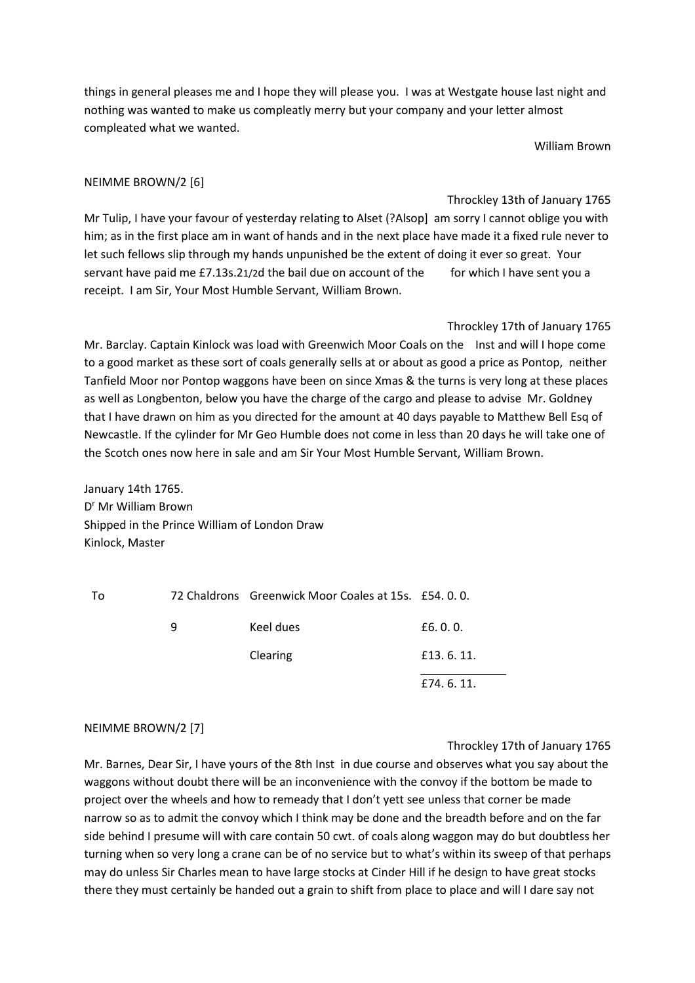things in general pleases me and I hope they will please you. I was at Westgate house last night and nothing was wanted to make us compleatly merry but your company and your letter almost compleated what we wanted.

William Brown

# NEIMME BROWN/2 [6]

Throckley 13th of January 1765

Mr Tulip, I have your favour of yesterday relating to Alset (?Alsop] am sorry I cannot oblige you with him; as in the first place am in want of hands and in the next place have made it a fixed rule never to let such fellows slip through my hands unpunished be the extent of doing it ever so great. Your servant have paid me £7.13s.21/2d the bail due on account of the for which I have sent you a receipt. I am Sir, Your Most Humble Servant, William Brown.

Throckley 17th of January 1765 Mr. Barclay. Captain Kinlock was load with Greenwich Moor Coals on the Inst and will I hope come to a good market as these sort of coals generally sells at or about as good a price as Pontop, neither Tanfield Moor nor Pontop waggons have been on since Xmas & the turns is very long at these places as well as Longbenton, below you have the charge of the cargo and please to advise Mr. Goldney that I have drawn on him as you directed for the amount at 40 days payable to Matthew Bell Esq of Newcastle. If the cylinder for Mr Geo Humble does not come in less than 20 days he will take one of the Scotch ones now here in sale and am Sir Your Most Humble Servant, William Brown.

January 14th 1765. D<sup>r</sup> Mr William Brown Shipped in the Prince William of London Draw Kinlock, Master

| To |   | 72 Chaldrons Greenwick Moor Coales at 15s. £54.0.0. |           |
|----|---|-----------------------------------------------------|-----------|
|    | 9 | Keel dues                                           | £6.0.0.   |
|    |   | Clearing                                            | £13.6.11. |
|    |   |                                                     | £74.6.11. |

# NEIMME BROWN/2 [7]

Throckley 17th of January 1765

Mr. Barnes, Dear Sir, I have yours of the 8th Inst in due course and observes what you say about the waggons without doubt there will be an inconvenience with the convoy if the bottom be made to project over the wheels and how to remeady that I don't yett see unless that corner be made narrow so as to admit the convoy which I think may be done and the breadth before and on the far side behind I presume will with care contain 50 cwt. of coals along waggon may do but doubtless her turning when so very long a crane can be of no service but to what's within its sweep of that perhaps may do unless Sir Charles mean to have large stocks at Cinder Hill if he design to have great stocks there they must certainly be handed out a grain to shift from place to place and will I dare say not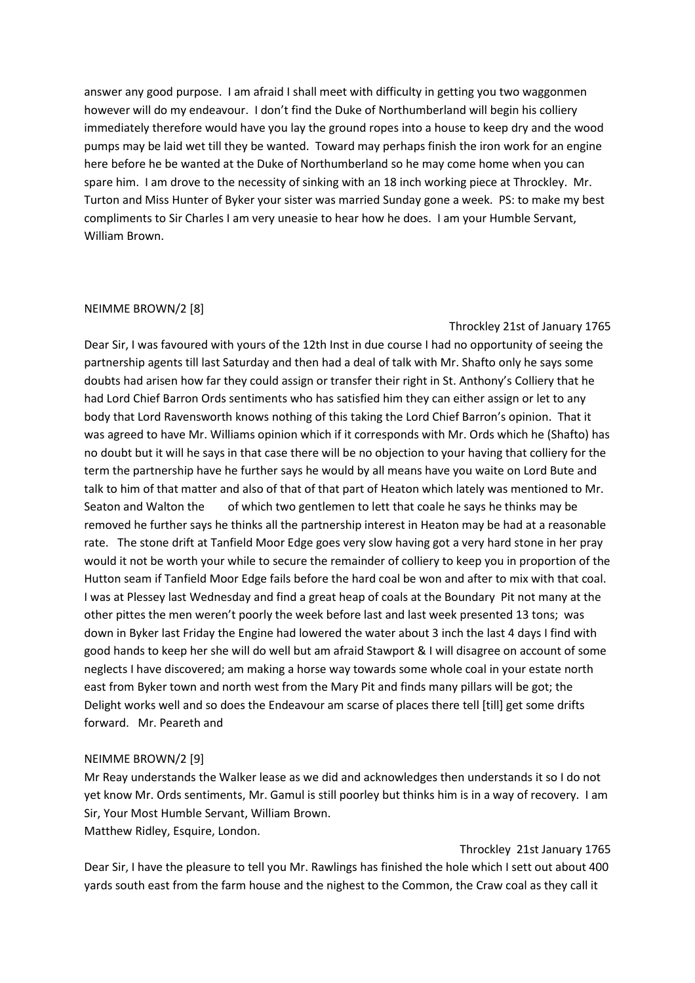answer any good purpose. I am afraid I shall meet with difficulty in getting you two waggonmen however will do my endeavour. I don't find the Duke of Northumberland will begin his colliery immediately therefore would have you lay the ground ropes into a house to keep dry and the wood pumps may be laid wet till they be wanted. Toward may perhaps finish the iron work for an engine here before he be wanted at the Duke of Northumberland so he may come home when you can spare him. I am drove to the necessity of sinking with an 18 inch working piece at Throckley. Mr. Turton and Miss Hunter of Byker your sister was married Sunday gone a week. PS: to make my best compliments to Sir Charles I am very uneasie to hear how he does. I am your Humble Servant, William Brown.

### NEIMME BROWN/2 [8]

Throckley 21st of January 1765

Dear Sir, I was favoured with yours of the 12th Inst in due course I had no opportunity of seeing the partnership agents till last Saturday and then had a deal of talk with Mr. Shafto only he says some doubts had arisen how far they could assign or transfer their right in St. Anthony's Colliery that he had Lord Chief Barron Ords sentiments who has satisfied him they can either assign or let to any body that Lord Ravensworth knows nothing of this taking the Lord Chief Barron's opinion. That it was agreed to have Mr. Williams opinion which if it corresponds with Mr. Ords which he (Shafto) has no doubt but it will he says in that case there will be no objection to your having that colliery for the term the partnership have he further says he would by all means have you waite on Lord Bute and talk to him of that matter and also of that of that part of Heaton which lately was mentioned to Mr. Seaton and Walton the of which two gentlemen to lett that coale he says he thinks may be removed he further says he thinks all the partnership interest in Heaton may be had at a reasonable rate. The stone drift at Tanfield Moor Edge goes very slow having got a very hard stone in her pray would it not be worth your while to secure the remainder of colliery to keep you in proportion of the Hutton seam if Tanfield Moor Edge fails before the hard coal be won and after to mix with that coal. I was at Plessey last Wednesday and find a great heap of coals at the Boundary Pit not many at the other pittes the men weren't poorly the week before last and last week presented 13 tons; was down in Byker last Friday the Engine had lowered the water about 3 inch the last 4 days I find with good hands to keep her she will do well but am afraid Stawport & I will disagree on account of some neglects I have discovered; am making a horse way towards some whole coal in your estate north east from Byker town and north west from the Mary Pit and finds many pillars will be got; the Delight works well and so does the Endeavour am scarse of places there tell [till] get some drifts forward. Mr. Peareth and

#### NEIMME BROWN/2 [9]

Mr Reay understands the Walker lease as we did and acknowledges then understands it so I do not yet know Mr. Ords sentiments, Mr. Gamul is still poorley but thinks him is in a way of recovery. I am Sir, Your Most Humble Servant, William Brown.

# Matthew Ridley, Esquire, London.

# Throckley 21st January 1765

Dear Sir, I have the pleasure to tell you Mr. Rawlings has finished the hole which I sett out about 400 yards south east from the farm house and the nighest to the Common, the Craw coal as they call it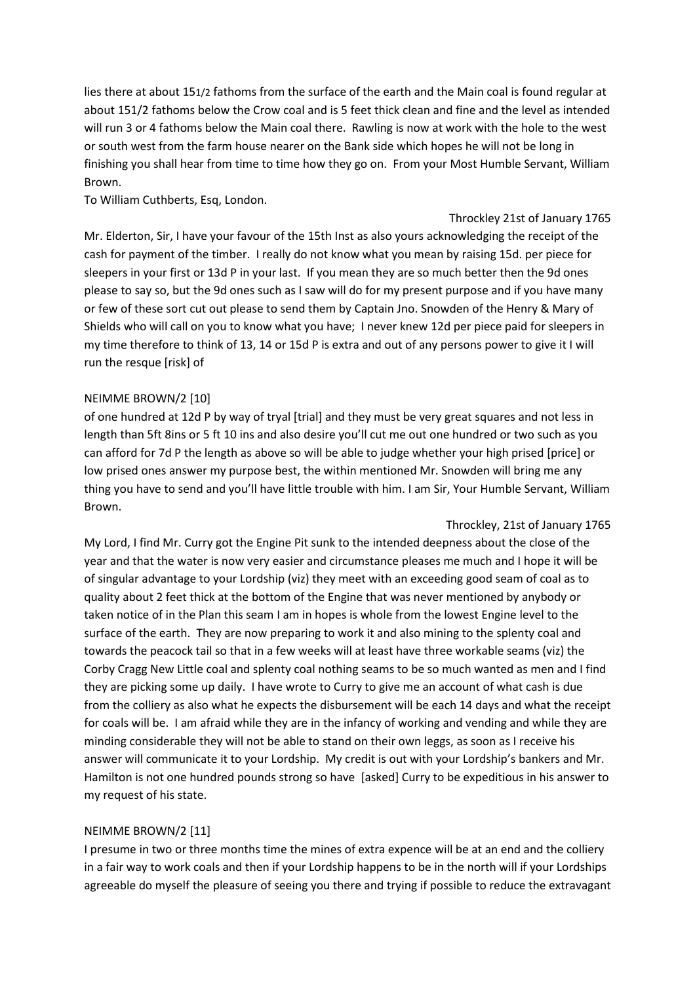lies there at about 151/2 fathoms from the surface of the earth and the Main coal is found regular at about 151/2 fathoms below the Crow coal and is 5 feet thick clean and fine and the level as intended will run 3 or 4 fathoms below the Main coal there. Rawling is now at work with the hole to the west or south west from the farm house nearer on the Bank side which hopes he will not be long in finishing you shall hear from time to time how they go on. From your Most Humble Servant, William Brown.

To William Cuthberts, Esq, London.

Throckley 21st of January 1765

Mr. Elderton, Sir, I have your favour of the 15th Inst as also yours acknowledging the receipt of the cash for payment of the timber. I really do not know what you mean by raising 15d. per piece for sleepers in your first or 13d P in your last. If you mean they are so much better then the 9d ones please to say so, but the 9d ones such as I saw will do for my present purpose and if you have many or few of these sort cut out please to send them by Captain Jno. Snowden of the Henry & Mary of Shields who will call on you to know what you have; I never knew 12d per piece paid for sleepers in my time therefore to think of 13, 14 or 15d P is extra and out of any persons power to give it I will run the resque [risk] of

# NEIMME BROWN/2 [10]

of one hundred at 12d P by way of tryal [trial] and they must be very great squares and not less in length than 5ft 8ins or 5 ft 10 ins and also desire you'll cut me out one hundred or two such as you can afford for 7d P the length as above so will be able to judge whether your high prised [price] or low prised ones answer my purpose best, the within mentioned Mr. Snowden will bring me any thing you have to send and you'll have little trouble with him. I am Sir, Your Humble Servant, William Brown.

Throckley, 21st of January 1765

My Lord, I find Mr. Curry got the Engine Pit sunk to the intended deepness about the close of the year and that the water is now very easier and circumstance pleases me much and I hope it will be of singular advantage to your Lordship (viz) they meet with an exceeding good seam of coal as to quality about 2 feet thick at the bottom of the Engine that was never mentioned by anybody or taken notice of in the Plan this seam I am in hopes is whole from the lowest Engine level to the surface of the earth. They are now preparing to work it and also mining to the splenty coal and towards the peacock tail so that in a few weeks will at least have three workable seams (viz) the Corby Cragg New Little coal and splenty coal nothing seams to be so much wanted as men and I find they are picking some up daily. I have wrote to Curry to give me an account of what cash is due from the colliery as also what he expects the disbursement will be each 14 days and what the receipt for coals will be. I am afraid while they are in the infancy of working and vending and while they are minding considerable they will not be able to stand on their own leggs, as soon as I receive his answer will communicate it to your Lordship. My credit is out with your Lordship's bankers and Mr. Hamilton is not one hundred pounds strong so have [asked] Curry to be expeditious in his answer to my request of his state.

# NEIMME BROWN/2 [11]

I presume in two or three months time the mines of extra expence will be at an end and the colliery in a fair way to work coals and then if your Lordship happens to be in the north will if your Lordships agreeable do myself the pleasure of seeing you there and trying if possible to reduce the extravagant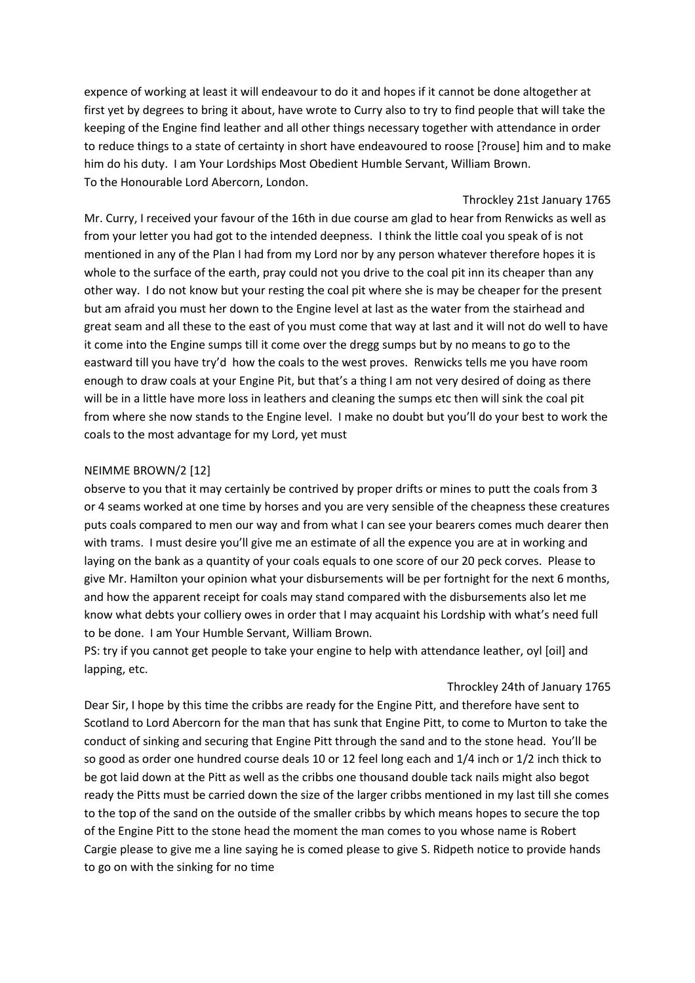expence of working at least it will endeavour to do it and hopes if it cannot be done altogether at first yet by degrees to bring it about, have wrote to Curry also to try to find people that will take the keeping of the Engine find leather and all other things necessary together with attendance in order to reduce things to a state of certainty in short have endeavoured to roose [?rouse] him and to make him do his duty. I am Your Lordships Most Obedient Humble Servant, William Brown. To the Honourable Lord Abercorn, London.

Throckley 21st January 1765

Mr. Curry, I received your favour of the 16th in due course am glad to hear from Renwicks as well as from your letter you had got to the intended deepness. I think the little coal you speak of is not mentioned in any of the Plan I had from my Lord nor by any person whatever therefore hopes it is whole to the surface of the earth, pray could not you drive to the coal pit inn its cheaper than any other way. I do not know but your resting the coal pit where she is may be cheaper for the present but am afraid you must her down to the Engine level at last as the water from the stairhead and great seam and all these to the east of you must come that way at last and it will not do well to have it come into the Engine sumps till it come over the dregg sumps but by no means to go to the eastward till you have try'd how the coals to the west proves. Renwicks tells me you have room enough to draw coals at your Engine Pit, but that's a thing I am not very desired of doing as there will be in a little have more loss in leathers and cleaning the sumps etc then will sink the coal pit from where she now stands to the Engine level. I make no doubt but you'll do your best to work the coals to the most advantage for my Lord, yet must

# NEIMME BROWN/2 [12]

observe to you that it may certainly be contrived by proper drifts or mines to putt the coals from 3 or 4 seams worked at one time by horses and you are very sensible of the cheapness these creatures puts coals compared to men our way and from what I can see your bearers comes much dearer then with trams. I must desire you'll give me an estimate of all the expence you are at in working and laying on the bank as a quantity of your coals equals to one score of our 20 peck corves. Please to give Mr. Hamilton your opinion what your disbursements will be per fortnight for the next 6 months, and how the apparent receipt for coals may stand compared with the disbursements also let me know what debts your colliery owes in order that I may acquaint his Lordship with what's need full to be done. I am Your Humble Servant, William Brown.

PS: try if you cannot get people to take your engine to help with attendance leather, oyl [oil] and lapping, etc.

#### Throckley 24th of January 1765

Dear Sir, I hope by this time the cribbs are ready for the Engine Pitt, and therefore have sent to Scotland to Lord Abercorn for the man that has sunk that Engine Pitt, to come to Murton to take the conduct of sinking and securing that Engine Pitt through the sand and to the stone head. You'll be so good as order one hundred course deals 10 or 12 feel long each and 1/4 inch or 1/2 inch thick to be got laid down at the Pitt as well as the cribbs one thousand double tack nails might also begot ready the Pitts must be carried down the size of the larger cribbs mentioned in my last till she comes to the top of the sand on the outside of the smaller cribbs by which means hopes to secure the top of the Engine Pitt to the stone head the moment the man comes to you whose name is Robert Cargie please to give me a line saying he is comed please to give S. Ridpeth notice to provide hands to go on with the sinking for no time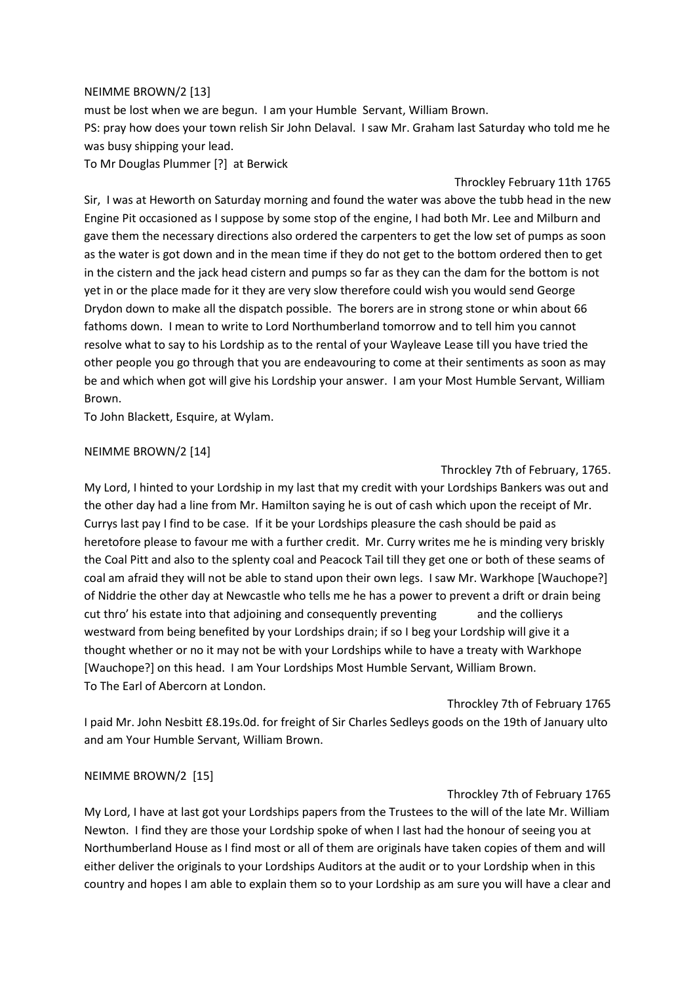### NEIMME BROWN/2 [13]

must be lost when we are begun. I am your Humble Servant, William Brown. PS: pray how does your town relish Sir John Delaval. I saw Mr. Graham last Saturday who told me he was busy shipping your lead.

To Mr Douglas Plummer [?] at Berwick

Throckley February 11th 1765 Sir, I was at Heworth on Saturday morning and found the water was above the tubb head in the new Engine Pit occasioned as I suppose by some stop of the engine, I had both Mr. Lee and Milburn and gave them the necessary directions also ordered the carpenters to get the low set of pumps as soon as the water is got down and in the mean time if they do not get to the bottom ordered then to get in the cistern and the jack head cistern and pumps so far as they can the dam for the bottom is not yet in or the place made for it they are very slow therefore could wish you would send George Drydon down to make all the dispatch possible. The borers are in strong stone or whin about 66 fathoms down. I mean to write to Lord Northumberland tomorrow and to tell him you cannot resolve what to say to his Lordship as to the rental of your Wayleave Lease till you have tried the other people you go through that you are endeavouring to come at their sentiments as soon as may be and which when got will give his Lordship your answer. I am your Most Humble Servant, William Brown.

To John Blackett, Esquire, at Wylam.

### NEIMME BROWN/2 [14]

Throckley 7th of February, 1765. My Lord, I hinted to your Lordship in my last that my credit with your Lordships Bankers was out and the other day had a line from Mr. Hamilton saying he is out of cash which upon the receipt of Mr. Currys last pay I find to be case. If it be your Lordships pleasure the cash should be paid as heretofore please to favour me with a further credit. Mr. Curry writes me he is minding very briskly the Coal Pitt and also to the splenty coal and Peacock Tail till they get one or both of these seams of coal am afraid they will not be able to stand upon their own legs. I saw Mr. Warkhope [Wauchope?] of Niddrie the other day at Newcastle who tells me he has a power to prevent a drift or drain being cut thro' his estate into that adjoining and consequently preventing and the collierys westward from being benefited by your Lordships drain; if so I beg your Lordship will give it a thought whether or no it may not be with your Lordships while to have a treaty with Warkhope [Wauchope?] on this head. I am Your Lordships Most Humble Servant, William Brown. To The Earl of Abercorn at London.

Throckley 7th of February 1765 I paid Mr. John Nesbitt £8.19s.0d. for freight of Sir Charles Sedleys goods on the 19th of January ulto and am Your Humble Servant, William Brown.

# NEIMME BROWN/2 [15]

# Throckley 7th of February 1765

My Lord, I have at last got your Lordships papers from the Trustees to the will of the late Mr. William Newton. I find they are those your Lordship spoke of when I last had the honour of seeing you at Northumberland House as I find most or all of them are originals have taken copies of them and will either deliver the originals to your Lordships Auditors at the audit or to your Lordship when in this country and hopes I am able to explain them so to your Lordship as am sure you will have a clear and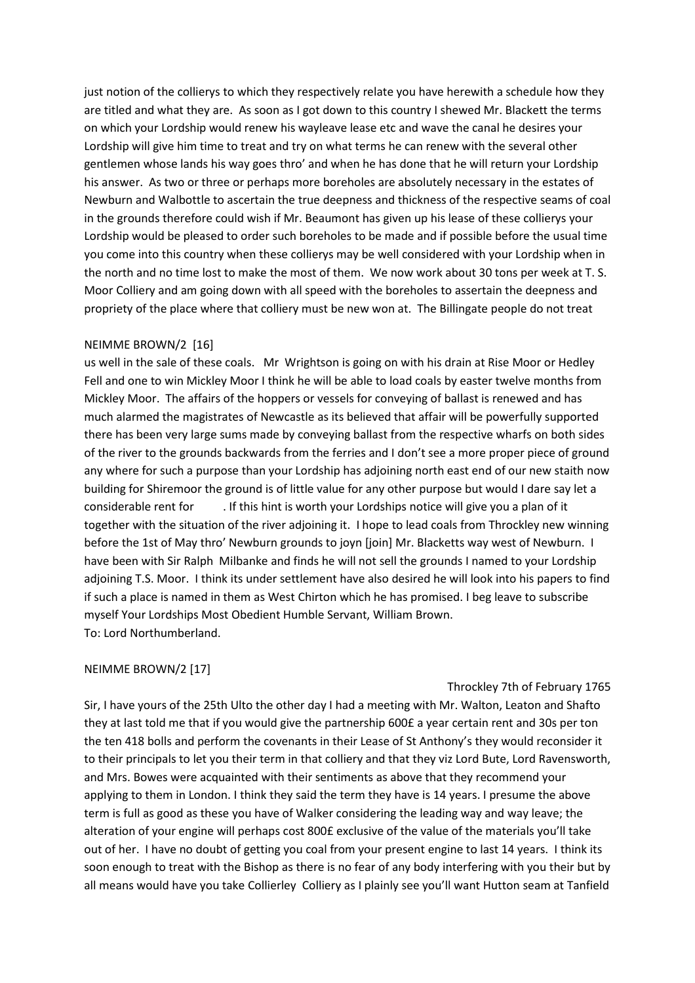just notion of the collierys to which they respectively relate you have herewith a schedule how they are titled and what they are. As soon as I got down to this country I shewed Mr. Blackett the terms on which your Lordship would renew his wayleave lease etc and wave the canal he desires your Lordship will give him time to treat and try on what terms he can renew with the several other gentlemen whose lands his way goes thro' and when he has done that he will return your Lordship his answer. As two or three or perhaps more boreholes are absolutely necessary in the estates of Newburn and Walbottle to ascertain the true deepness and thickness of the respective seams of coal in the grounds therefore could wish if Mr. Beaumont has given up his lease of these collierys your Lordship would be pleased to order such boreholes to be made and if possible before the usual time you come into this country when these collierys may be well considered with your Lordship when in the north and no time lost to make the most of them. We now work about 30 tons per week at T. S. Moor Colliery and am going down with all speed with the boreholes to assertain the deepness and propriety of the place where that colliery must be new won at. The Billingate people do not treat

### NEIMME BROWN/2 [16]

us well in the sale of these coals. Mr Wrightson is going on with his drain at Rise Moor or Hedley Fell and one to win Mickley Moor I think he will be able to load coals by easter twelve months from Mickley Moor. The affairs of the hoppers or vessels for conveying of ballast is renewed and has much alarmed the magistrates of Newcastle as its believed that affair will be powerfully supported there has been very large sums made by conveying ballast from the respective wharfs on both sides of the river to the grounds backwards from the ferries and I don't see a more proper piece of ground any where for such a purpose than your Lordship has adjoining north east end of our new staith now building for Shiremoor the ground is of little value for any other purpose but would I dare say let a considerable rent for . If this hint is worth your Lordships notice will give you a plan of it together with the situation of the river adjoining it. I hope to lead coals from Throckley new winning before the 1st of May thro' Newburn grounds to joyn [join] Mr. Blacketts way west of Newburn. I have been with Sir Ralph Milbanke and finds he will not sell the grounds I named to your Lordship adjoining T.S. Moor. I think its under settlement have also desired he will look into his papers to find if such a place is named in them as West Chirton which he has promised. I beg leave to subscribe myself Your Lordships Most Obedient Humble Servant, William Brown. To: Lord Northumberland.

#### NEIMME BROWN/2 [17]

#### Throckley 7th of February 1765

Sir, I have yours of the 25th Ulto the other day I had a meeting with Mr. Walton, Leaton and Shafto they at last told me that if you would give the partnership 600£ a year certain rent and 30s per ton the ten 418 bolls and perform the covenants in their Lease of St Anthony's they would reconsider it to their principals to let you their term in that colliery and that they viz Lord Bute, Lord Ravensworth, and Mrs. Bowes were acquainted with their sentiments as above that they recommend your applying to them in London. I think they said the term they have is 14 years. I presume the above term is full as good as these you have of Walker considering the leading way and way leave; the alteration of your engine will perhaps cost 800£ exclusive of the value of the materials you'll take out of her. I have no doubt of getting you coal from your present engine to last 14 years. I think its soon enough to treat with the Bishop as there is no fear of any body interfering with you their but by all means would have you take Collierley Colliery as I plainly see you'll want Hutton seam at Tanfield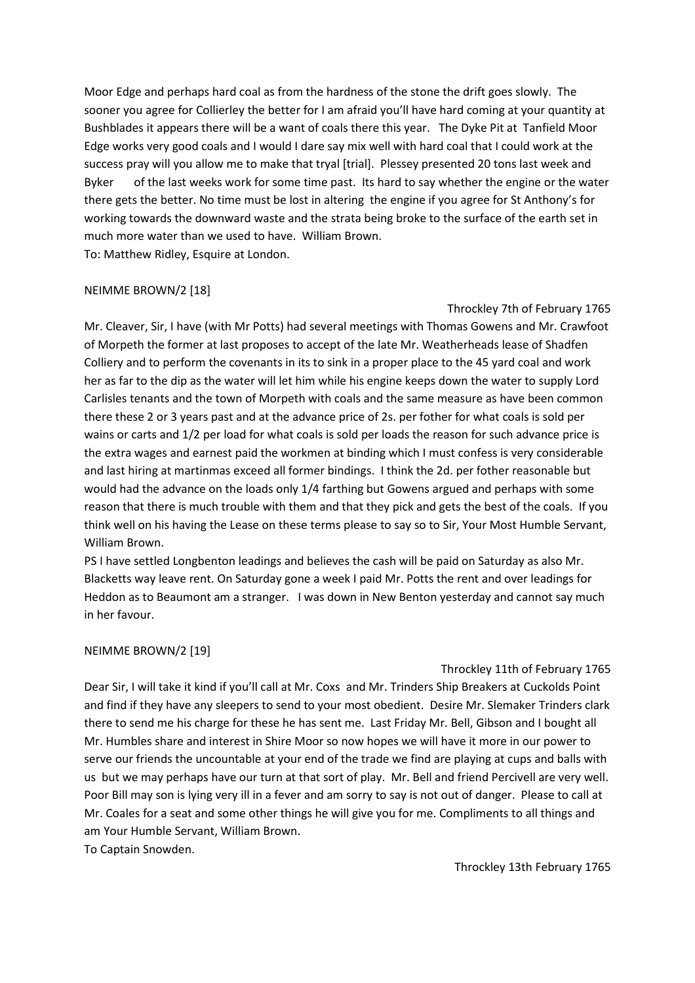Moor Edge and perhaps hard coal as from the hardness of the stone the drift goes slowly. The sooner you agree for Collierley the better for I am afraid you'll have hard coming at your quantity at Bushblades it appears there will be a want of coals there this year. The Dyke Pit at Tanfield Moor Edge works very good coals and I would I dare say mix well with hard coal that I could work at the success pray will you allow me to make that tryal [trial]. Plessey presented 20 tons last week and Byker of the last weeks work for some time past. Its hard to say whether the engine or the water there gets the better. No time must be lost in altering the engine if you agree for St Anthony's for working towards the downward waste and the strata being broke to the surface of the earth set in much more water than we used to have. William Brown. To: Matthew Ridley, Esquire at London.

# NEIMME BROWN/2 [18]

### Throckley 7th of February 1765

Mr. Cleaver, Sir, I have (with Mr Potts) had several meetings with Thomas Gowens and Mr. Crawfoot of Morpeth the former at last proposes to accept of the late Mr. Weatherheads lease of Shadfen Colliery and to perform the covenants in its to sink in a proper place to the 45 yard coal and work her as far to the dip as the water will let him while his engine keeps down the water to supply Lord Carlisles tenants and the town of Morpeth with coals and the same measure as have been common there these 2 or 3 years past and at the advance price of 2s. per fother for what coals is sold per wains or carts and 1/2 per load for what coals is sold per loads the reason for such advance price is the extra wages and earnest paid the workmen at binding which I must confess is very considerable and last hiring at martinmas exceed all former bindings. I think the 2d. per fother reasonable but would had the advance on the loads only 1/4 farthing but Gowens argued and perhaps with some reason that there is much trouble with them and that they pick and gets the best of the coals. If you think well on his having the Lease on these terms please to say so to Sir, Your Most Humble Servant, William Brown.

PS I have settled Longbenton leadings and believes the cash will be paid on Saturday as also Mr. Blacketts way leave rent. On Saturday gone a week I paid Mr. Potts the rent and over leadings for Heddon as to Beaumont am a stranger. I was down in New Benton yesterday and cannot say much in her favour.

# NEIMME BROWN/2 [19]

#### Throckley 11th of February 1765

Dear Sir, I will take it kind if you'll call at Mr. Coxs and Mr. Trinders Ship Breakers at Cuckolds Point and find if they have any sleepers to send to your most obedient. Desire Mr. Slemaker Trinders clark there to send me his charge for these he has sent me. Last Friday Mr. Bell, Gibson and I bought all Mr. Humbles share and interest in Shire Moor so now hopes we will have it more in our power to serve our friends the uncountable at your end of the trade we find are playing at cups and balls with us but we may perhaps have our turn at that sort of play. Mr. Bell and friend Percivell are very well. Poor Bill may son is lying very ill in a fever and am sorry to say is not out of danger. Please to call at Mr. Coales for a seat and some other things he will give you for me. Compliments to all things and am Your Humble Servant, William Brown.

To Captain Snowden.

Throckley 13th February 1765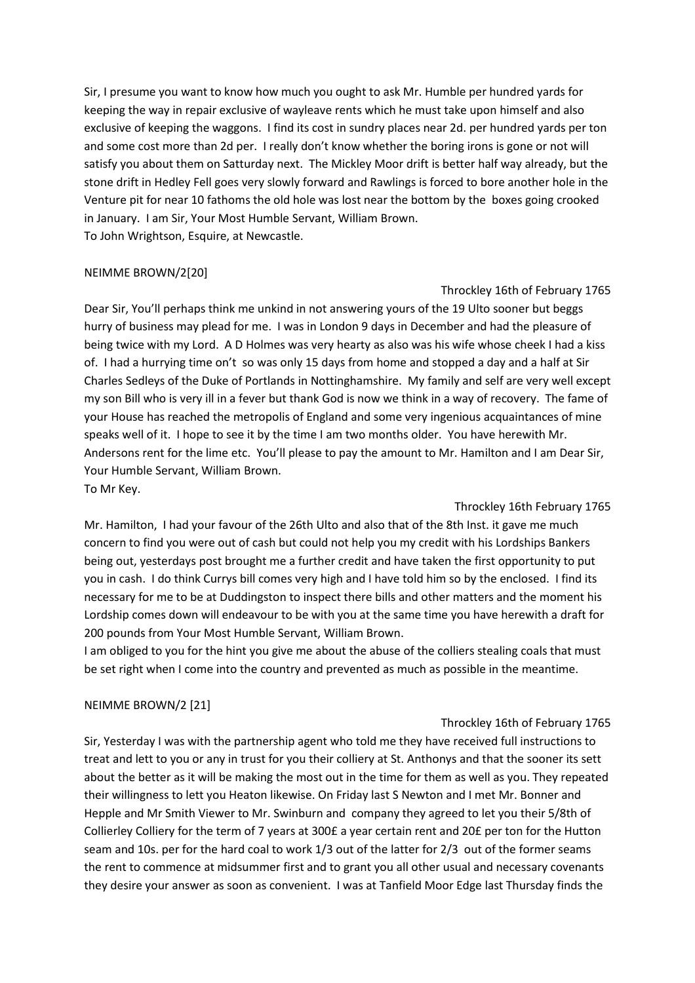Sir, I presume you want to know how much you ought to ask Mr. Humble per hundred yards for keeping the way in repair exclusive of wayleave rents which he must take upon himself and also exclusive of keeping the waggons. I find its cost in sundry places near 2d. per hundred yards per ton and some cost more than 2d per. I really don't know whether the boring irons is gone or not will satisfy you about them on Satturday next. The Mickley Moor drift is better half way already, but the stone drift in Hedley Fell goes very slowly forward and Rawlings is forced to bore another hole in the Venture pit for near 10 fathoms the old hole was lost near the bottom by the boxes going crooked in January. I am Sir, Your Most Humble Servant, William Brown. To John Wrightson, Esquire, at Newcastle.

### NEIMME BROWN/2[20]

Throckley 16th of February 1765 Dear Sir, You'll perhaps think me unkind in not answering yours of the 19 Ulto sooner but beggs hurry of business may plead for me. I was in London 9 days in December and had the pleasure of being twice with my Lord. A D Holmes was very hearty as also was his wife whose cheek I had a kiss of. I had a hurrying time on't so was only 15 days from home and stopped a day and a half at Sir Charles Sedleys of the Duke of Portlands in Nottinghamshire. My family and self are very well except my son Bill who is very ill in a fever but thank God is now we think in a way of recovery. The fame of your House has reached the metropolis of England and some very ingenious acquaintances of mine speaks well of it. I hope to see it by the time I am two months older. You have herewith Mr. Andersons rent for the lime etc. You'll please to pay the amount to Mr. Hamilton and I am Dear Sir, Your Humble Servant, William Brown. To Mr Key.

Throckley 16th February 1765 Mr. Hamilton, I had your favour of the 26th Ulto and also that of the 8th Inst. it gave me much concern to find you were out of cash but could not help you my credit with his Lordships Bankers being out, yesterdays post brought me a further credit and have taken the first opportunity to put you in cash. I do think Currys bill comes very high and I have told him so by the enclosed. I find its necessary for me to be at Duddingston to inspect there bills and other matters and the moment his Lordship comes down will endeavour to be with you at the same time you have herewith a draft for 200 pounds from Your Most Humble Servant, William Brown.

I am obliged to you for the hint you give me about the abuse of the colliers stealing coals that must be set right when I come into the country and prevented as much as possible in the meantime.

# NEIMME BROWN/2 [21]

#### Throckley 16th of February 1765

Sir, Yesterday I was with the partnership agent who told me they have received full instructions to treat and lett to you or any in trust for you their colliery at St. Anthonys and that the sooner its sett about the better as it will be making the most out in the time for them as well as you. They repeated their willingness to lett you Heaton likewise. On Friday last S Newton and I met Mr. Bonner and Hepple and Mr Smith Viewer to Mr. Swinburn and company they agreed to let you their 5/8th of Collierley Colliery for the term of 7 years at 300£ a year certain rent and 20£ per ton for the Hutton seam and 10s. per for the hard coal to work 1/3 out of the latter for 2/3 out of the former seams the rent to commence at midsummer first and to grant you all other usual and necessary covenants they desire your answer as soon as convenient. I was at Tanfield Moor Edge last Thursday finds the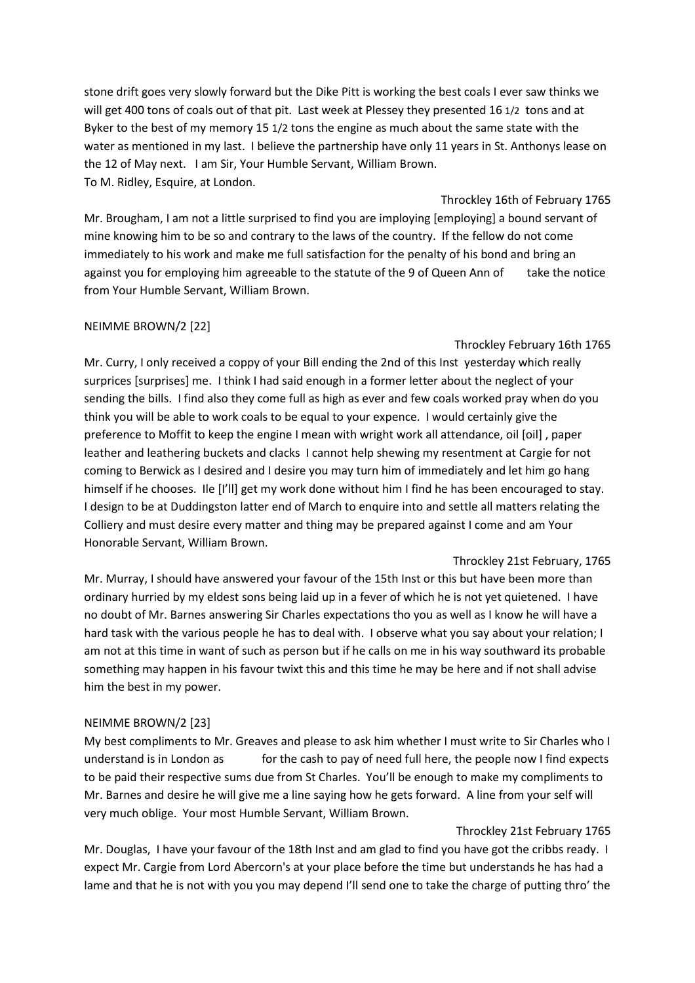stone drift goes very slowly forward but the Dike Pitt is working the best coals I ever saw thinks we will get 400 tons of coals out of that pit. Last week at Plessey they presented 16 1/2 tons and at Byker to the best of my memory 15 1/2 tons the engine as much about the same state with the water as mentioned in my last. I believe the partnership have only 11 years in St. Anthonys lease on the 12 of May next. I am Sir, Your Humble Servant, William Brown. To M. Ridley, Esquire, at London.

Throckley 16th of February 1765 Mr. Brougham, I am not a little surprised to find you are imploying [employing] a bound servant of mine knowing him to be so and contrary to the laws of the country. If the fellow do not come immediately to his work and make me full satisfaction for the penalty of his bond and bring an against you for employing him agreeable to the statute of the 9 of Queen Ann oftake the notice from Your Humble Servant, William Brown.

# NEIMME BROWN/2 [22]

### Throckley February 16th 1765

Mr. Curry, I only received a coppy of your Bill ending the 2nd of this Inst yesterday which really surprices [surprises] me. I think I had said enough in a former letter about the neglect of your sending the bills. I find also they come full as high as ever and few coals worked pray when do you think you will be able to work coals to be equal to your expence. I would certainly give the preference to Moffit to keep the engine I mean with wright work all attendance, oil [oil] , paper leather and leathering buckets and clacks I cannot help shewing my resentment at Cargie for not coming to Berwick as I desired and I desire you may turn him of immediately and let him go hang himself if he chooses. Ile [I'll] get my work done without him I find he has been encouraged to stay. I design to be at Duddingston latter end of March to enquire into and settle all matters relating the Colliery and must desire every matter and thing may be prepared against I come and am Your Honorable Servant, William Brown.

#### Throckley 21st February, 1765

Mr. Murray, I should have answered your favour of the 15th Inst or this but have been more than ordinary hurried by my eldest sons being laid up in a fever of which he is not yet quietened. I have no doubt of Mr. Barnes answering Sir Charles expectations tho you as well as I know he will have a hard task with the various people he has to deal with. I observe what you say about your relation; I am not at this time in want of such as person but if he calls on me in his way southward its probable something may happen in his favour twixt this and this time he may be here and if not shall advise him the best in my power.

# NEIMME BROWN/2 [23]

My best compliments to Mr. Greaves and please to ask him whether I must write to Sir Charles who I understand is in London as for the cash to pay of need full here, the people now I find expects to be paid their respective sums due from St Charles. You'll be enough to make my compliments to Mr. Barnes and desire he will give me a line saying how he gets forward. A line from your self will very much oblige. Your most Humble Servant, William Brown.

# Throckley 21st February 1765

Mr. Douglas, I have your favour of the 18th Inst and am glad to find you have got the cribbs ready. I expect Mr. Cargie from Lord Abercorn's at your place before the time but understands he has had a lame and that he is not with you you may depend I'll send one to take the charge of putting thro' the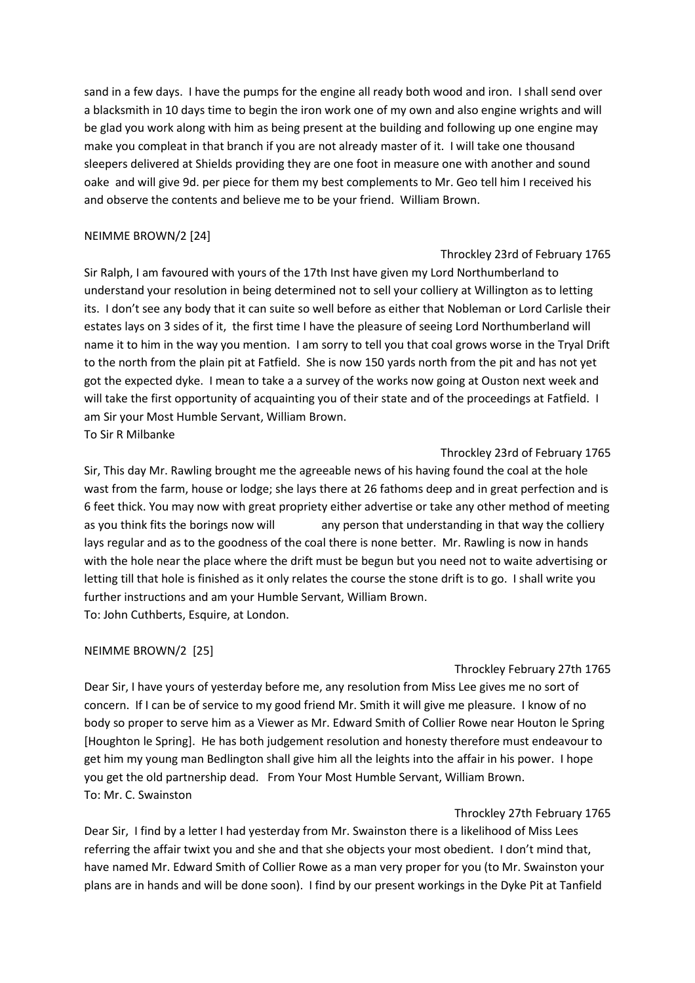sand in a few days. I have the pumps for the engine all ready both wood and iron. I shall send over a blacksmith in 10 days time to begin the iron work one of my own and also engine wrights and will be glad you work along with him as being present at the building and following up one engine may make you compleat in that branch if you are not already master of it. I will take one thousand sleepers delivered at Shields providing they are one foot in measure one with another and sound oake and will give 9d. per piece for them my best complements to Mr. Geo tell him I received his and observe the contents and believe me to be your friend. William Brown.

# NEIMME BROWN/2 [24]

# Throckley 23rd of February 1765

Sir Ralph, I am favoured with yours of the 17th Inst have given my Lord Northumberland to understand your resolution in being determined not to sell your colliery at Willington as to letting its. I don't see any body that it can suite so well before as either that Nobleman or Lord Carlisle their estates lays on 3 sides of it, the first time I have the pleasure of seeing Lord Northumberland will name it to him in the way you mention. I am sorry to tell you that coal grows worse in the Tryal Drift to the north from the plain pit at Fatfield. She is now 150 yards north from the pit and has not yet got the expected dyke. I mean to take a a survey of the works now going at Ouston next week and will take the first opportunity of acquainting you of their state and of the proceedings at Fatfield. I am Sir your Most Humble Servant, William Brown. To Sir R Milbanke

# Throckley 23rd of February 1765

Sir, This day Mr. Rawling brought me the agreeable news of his having found the coal at the hole wast from the farm, house or lodge; she lays there at 26 fathoms deep and in great perfection and is 6 feet thick. You may now with great propriety either advertise or take any other method of meeting as you think fits the borings now will any person that understanding in that way the colliery lays regular and as to the goodness of the coal there is none better. Mr. Rawling is now in hands with the hole near the place where the drift must be begun but you need not to waite advertising or letting till that hole is finished as it only relates the course the stone drift is to go. I shall write you further instructions and am your Humble Servant, William Brown. To: John Cuthberts, Esquire, at London.

# NEIMME BROWN/2 [25]

# Throckley February 27th 1765

Dear Sir, I have yours of yesterday before me, any resolution from Miss Lee gives me no sort of concern. If I can be of service to my good friend Mr. Smith it will give me pleasure. I know of no body so proper to serve him as a Viewer as Mr. Edward Smith of Collier Rowe near Houton le Spring [Houghton le Spring]. He has both judgement resolution and honesty therefore must endeavour to get him my young man Bedlington shall give him all the leights into the affair in his power. I hope you get the old partnership dead. From Your Most Humble Servant, William Brown. To: Mr. C. Swainston

# Throckley 27th February 1765

Dear Sir, I find by a letter I had yesterday from Mr. Swainston there is a likelihood of Miss Lees referring the affair twixt you and she and that she objects your most obedient. I don't mind that, have named Mr. Edward Smith of Collier Rowe as a man very proper for you (to Mr. Swainston your plans are in hands and will be done soon). I find by our present workings in the Dyke Pit at Tanfield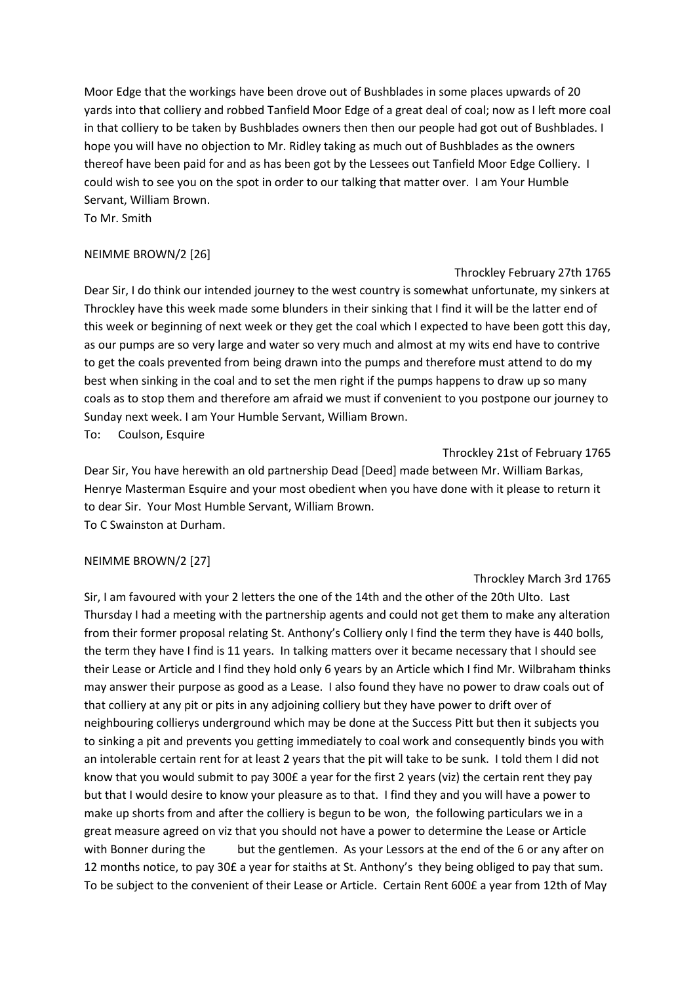Moor Edge that the workings have been drove out of Bushblades in some places upwards of 20 yards into that colliery and robbed Tanfield Moor Edge of a great deal of coal; now as I left more coal in that colliery to be taken by Bushblades owners then then our people had got out of Bushblades. I hope you will have no objection to Mr. Ridley taking as much out of Bushblades as the owners thereof have been paid for and as has been got by the Lessees out Tanfield Moor Edge Colliery. I could wish to see you on the spot in order to our talking that matter over. I am Your Humble Servant, William Brown.

To Mr. Smith

# NEIMME BROWN/2 [26]

#### Throckley February 27th 1765

Dear Sir, I do think our intended journey to the west country is somewhat unfortunate, my sinkers at Throckley have this week made some blunders in their sinking that I find it will be the latter end of this week or beginning of next week or they get the coal which I expected to have been gott this day, as our pumps are so very large and water so very much and almost at my wits end have to contrive to get the coals prevented from being drawn into the pumps and therefore must attend to do my best when sinking in the coal and to set the men right if the pumps happens to draw up so many coals as to stop them and therefore am afraid we must if convenient to you postpone our journey to Sunday next week. I am Your Humble Servant, William Brown.

To: Coulson, Esquire

Throckley 21st of February 1765

Dear Sir, You have herewith an old partnership Dead [Deed] made between Mr. William Barkas, Henrye Masterman Esquire and your most obedient when you have done with it please to return it to dear Sir. Your Most Humble Servant, William Brown. To C Swainston at Durham.

# NEIMME BROWN/2 [27]

# Throckley March 3rd 1765

Sir, I am favoured with your 2 letters the one of the 14th and the other of the 20th Ulto. Last Thursday I had a meeting with the partnership agents and could not get them to make any alteration from their former proposal relating St. Anthony's Colliery only I find the term they have is 440 bolls, the term they have I find is 11 years. In talking matters over it became necessary that I should see their Lease or Article and I find they hold only 6 years by an Article which I find Mr. Wilbraham thinks may answer their purpose as good as a Lease. I also found they have no power to draw coals out of that colliery at any pit or pits in any adjoining colliery but they have power to drift over of neighbouring collierys underground which may be done at the Success Pitt but then it subjects you to sinking a pit and prevents you getting immediately to coal work and consequently binds you with an intolerable certain rent for at least 2 years that the pit will take to be sunk. I told them I did not know that you would submit to pay 300£ a year for the first 2 years (viz) the certain rent they pay but that I would desire to know your pleasure as to that. I find they and you will have a power to make up shorts from and after the colliery is begun to be won, the following particulars we in a great measure agreed on viz that you should not have a power to determine the Lease or Article with Bonner during the but the gentlemen. As your Lessors at the end of the 6 or any after on 12 months notice, to pay 30£ a year for staiths at St. Anthony's they being obliged to pay that sum. To be subject to the convenient of their Lease or Article. Certain Rent 600£ a year from 12th of May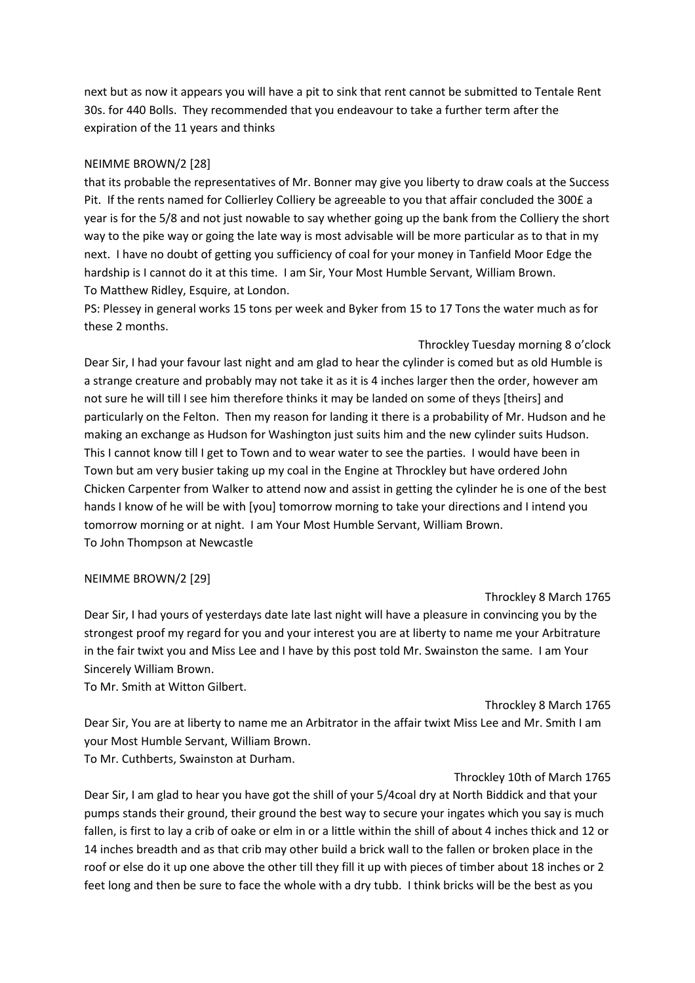next but as now it appears you will have a pit to sink that rent cannot be submitted to Tentale Rent 30s. for 440 Bolls. They recommended that you endeavour to take a further term after the expiration of the 11 years and thinks

### NEIMME BROWN/2 [28]

that its probable the representatives of Mr. Bonner may give you liberty to draw coals at the Success Pit. If the rents named for Collierley Colliery be agreeable to you that affair concluded the 300£ a year is for the 5/8 and not just nowable to say whether going up the bank from the Colliery the short way to the pike way or going the late way is most advisable will be more particular as to that in my next. I have no doubt of getting you sufficiency of coal for your money in Tanfield Moor Edge the hardship is I cannot do it at this time. I am Sir, Your Most Humble Servant, William Brown. To Matthew Ridley, Esquire, at London.

PS: Plessey in general works 15 tons per week and Byker from 15 to 17 Tons the water much as for these 2 months.

Throckley Tuesday morning 8 o'clock Dear Sir, I had your favour last night and am glad to hear the cylinder is comed but as old Humble is a strange creature and probably may not take it as it is 4 inches larger then the order, however am not sure he will till I see him therefore thinks it may be landed on some of theys [theirs] and particularly on the Felton. Then my reason for landing it there is a probability of Mr. Hudson and he making an exchange as Hudson for Washington just suits him and the new cylinder suits Hudson. This I cannot know till I get to Town and to wear water to see the parties. I would have been in Town but am very busier taking up my coal in the Engine at Throckley but have ordered John Chicken Carpenter from Walker to attend now and assist in getting the cylinder he is one of the best hands I know of he will be with [you] tomorrow morning to take your directions and I intend you tomorrow morning or at night. I am Your Most Humble Servant, William Brown. To John Thompson at Newcastle

#### NEIMME BROWN/2 [29]

#### Throckley 8 March 1765

Dear Sir, I had yours of yesterdays date late last night will have a pleasure in convincing you by the strongest proof my regard for you and your interest you are at liberty to name me your Arbitrature in the fair twixt you and Miss Lee and I have by this post told Mr. Swainston the same. I am Your Sincerely William Brown.

To Mr. Smith at Witton Gilbert.

#### Throckley 8 March 1765

Dear Sir, You are at liberty to name me an Arbitrator in the affair twixt Miss Lee and Mr. Smith I am your Most Humble Servant, William Brown.

To Mr. Cuthberts, Swainston at Durham.

#### Throckley 10th of March 1765

Dear Sir, I am glad to hear you have got the shill of your 5/4coal dry at North Biddick and that your pumps stands their ground, their ground the best way to secure your ingates which you say is much fallen, is first to lay a crib of oake or elm in or a little within the shill of about 4 inches thick and 12 or 14 inches breadth and as that crib may other build a brick wall to the fallen or broken place in the roof or else do it up one above the other till they fill it up with pieces of timber about 18 inches or 2 feet long and then be sure to face the whole with a dry tubb. I think bricks will be the best as you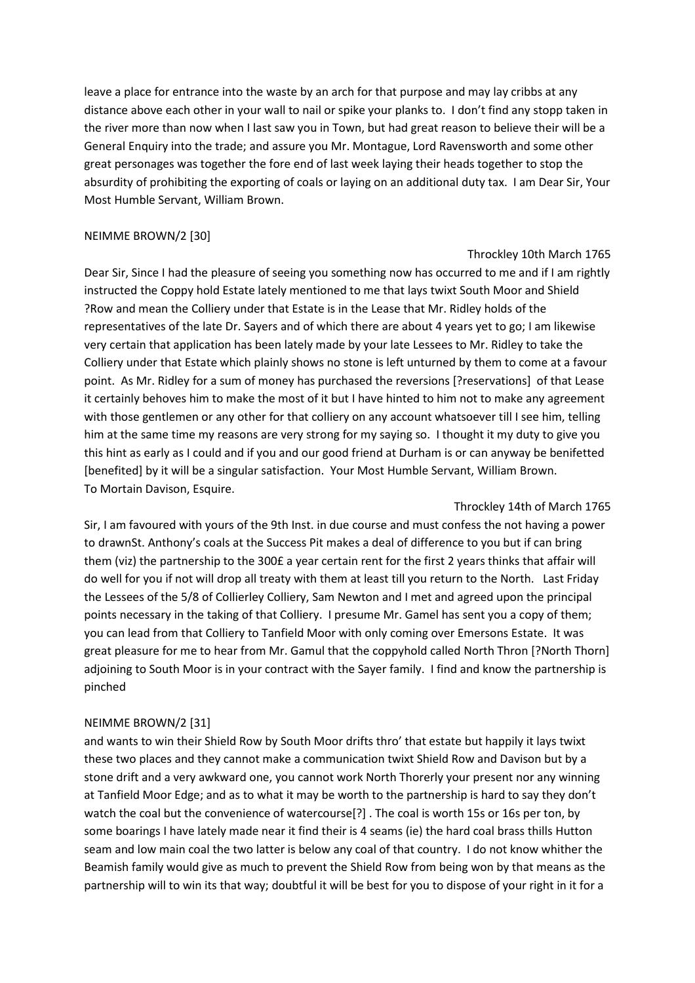leave a place for entrance into the waste by an arch for that purpose and may lay cribbs at any distance above each other in your wall to nail or spike your planks to. I don't find any stopp taken in the river more than now when I last saw you in Town, but had great reason to believe their will be a General Enquiry into the trade; and assure you Mr. Montague, Lord Ravensworth and some other great personages was together the fore end of last week laying their heads together to stop the absurdity of prohibiting the exporting of coals or laying on an additional duty tax. I am Dear Sir, Your Most Humble Servant, William Brown.

# NEIMME BROWN/2 [30]

### Throckley 10th March 1765

Dear Sir, Since I had the pleasure of seeing you something now has occurred to me and if I am rightly instructed the Coppy hold Estate lately mentioned to me that lays twixt South Moor and Shield ?Row and mean the Colliery under that Estate is in the Lease that Mr. Ridley holds of the representatives of the late Dr. Sayers and of which there are about 4 years yet to go; I am likewise very certain that application has been lately made by your late Lessees to Mr. Ridley to take the Colliery under that Estate which plainly shows no stone is left unturned by them to come at a favour point. As Mr. Ridley for a sum of money has purchased the reversions [?reservations] of that Lease it certainly behoves him to make the most of it but I have hinted to him not to make any agreement with those gentlemen or any other for that colliery on any account whatsoever till I see him, telling him at the same time my reasons are very strong for my saying so. I thought it my duty to give you this hint as early as I could and if you and our good friend at Durham is or can anyway be benifetted [benefited] by it will be a singular satisfaction. Your Most Humble Servant, William Brown. To Mortain Davison, Esquire.

Throckley 14th of March 1765 Sir, I am favoured with yours of the 9th Inst. in due course and must confess the not having a power to drawnSt. Anthony's coals at the Success Pit makes a deal of difference to you but if can bring them (viz) the partnership to the 300£ a year certain rent for the first 2 years thinks that affair will do well for you if not will drop all treaty with them at least till you return to the North. Last Friday the Lessees of the 5/8 of Collierley Colliery, Sam Newton and I met and agreed upon the principal points necessary in the taking of that Colliery. I presume Mr. Gamel has sent you a copy of them; you can lead from that Colliery to Tanfield Moor with only coming over Emersons Estate. It was great pleasure for me to hear from Mr. Gamul that the coppyhold called North Thron [?North Thorn] adjoining to South Moor is in your contract with the Sayer family. I find and know the partnership is pinched

# NEIMME BROWN/2 [31]

and wants to win their Shield Row by South Moor drifts thro' that estate but happily it lays twixt these two places and they cannot make a communication twixt Shield Row and Davison but by a stone drift and a very awkward one, you cannot work North Thorerly your present nor any winning at Tanfield Moor Edge; and as to what it may be worth to the partnership is hard to say they don't watch the coal but the convenience of watercourse[?] . The coal is worth 15s or 16s per ton, by some boarings I have lately made near it find their is 4 seams (ie) the hard coal brass thills Hutton seam and low main coal the two latter is below any coal of that country. I do not know whither the Beamish family would give as much to prevent the Shield Row from being won by that means as the partnership will to win its that way; doubtful it will be best for you to dispose of your right in it for a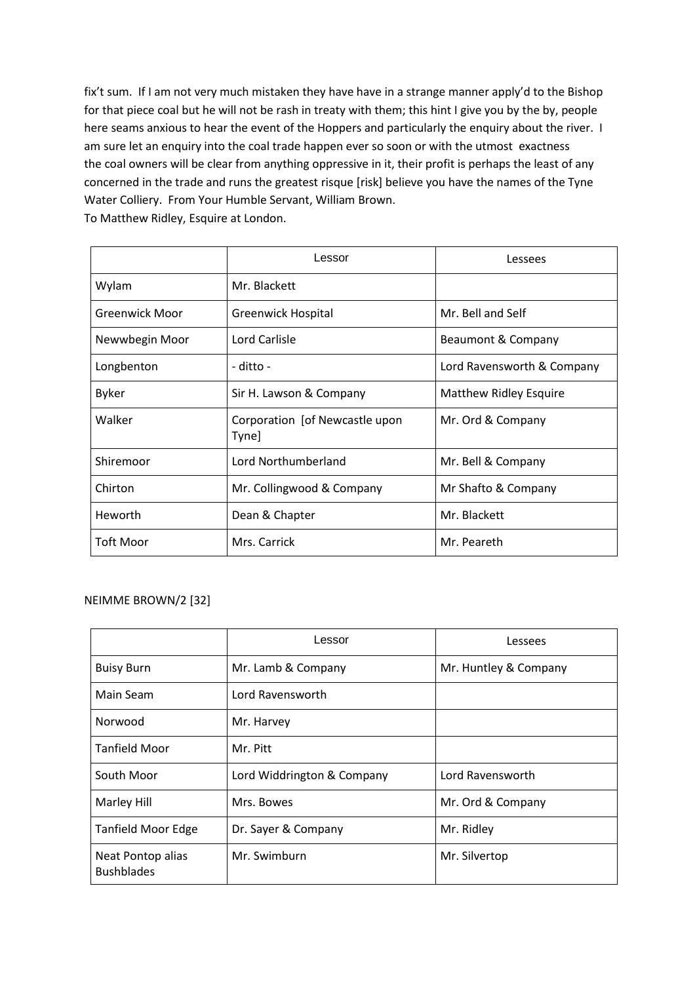fix't sum. If I am not very much mistaken they have have in a strange manner apply'd to the Bishop for that piece coal but he will not be rash in treaty with them; this hint I give you by the by, people here seams anxious to hear the event of the Hoppers and particularly the enquiry about the river. I am sure let an enquiry into the coal trade happen ever so soon or with the utmost exactness the coal owners will be clear from anything oppressive in it, their profit is perhaps the least of any concerned in the trade and runs the greatest risque [risk] believe you have the names of the Tyne Water Colliery. From Your Humble Servant, William Brown. To Matthew Ridley, Esquire at London.

|                       | Lessor                                  | Lessees                       |
|-----------------------|-----------------------------------------|-------------------------------|
| Wylam                 | Mr. Blackett                            |                               |
| <b>Greenwick Moor</b> | Greenwick Hospital                      | Mr. Bell and Self             |
| Newwbegin Moor        | Lord Carlisle                           | Beaumont & Company            |
| Longbenton            | - ditto -                               | Lord Ravensworth & Company    |
| <b>Byker</b>          | Sir H. Lawson & Company                 | <b>Matthew Ridley Esquire</b> |
| Walker                | Corporation [of Newcastle upon<br>Tyne] | Mr. Ord & Company             |
| Shiremoor             | Lord Northumberland                     | Mr. Bell & Company            |
| Chirton               | Mr. Collingwood & Company               | Mr Shafto & Company           |
| Heworth               | Dean & Chapter                          | Mr. Blackett                  |
| <b>Toft Moor</b>      | Mrs. Carrick                            | Mr. Peareth                   |

# NEIMME BROWN/2 [32]

|                                        | Lessor                     | Lessees               |
|----------------------------------------|----------------------------|-----------------------|
| <b>Buisy Burn</b>                      | Mr. Lamb & Company         | Mr. Huntley & Company |
| Main Seam                              | Lord Ravensworth           |                       |
| Norwood                                | Mr. Harvey                 |                       |
| <b>Tanfield Moor</b>                   | Mr. Pitt                   |                       |
| South Moor                             | Lord Widdrington & Company | Lord Ravensworth      |
| <b>Marley Hill</b>                     | Mrs. Bowes                 | Mr. Ord & Company     |
| Tanfield Moor Edge                     | Dr. Sayer & Company        | Mr. Ridley            |
| Neat Pontop alias<br><b>Bushblades</b> | Mr. Swimburn               | Mr. Silvertop         |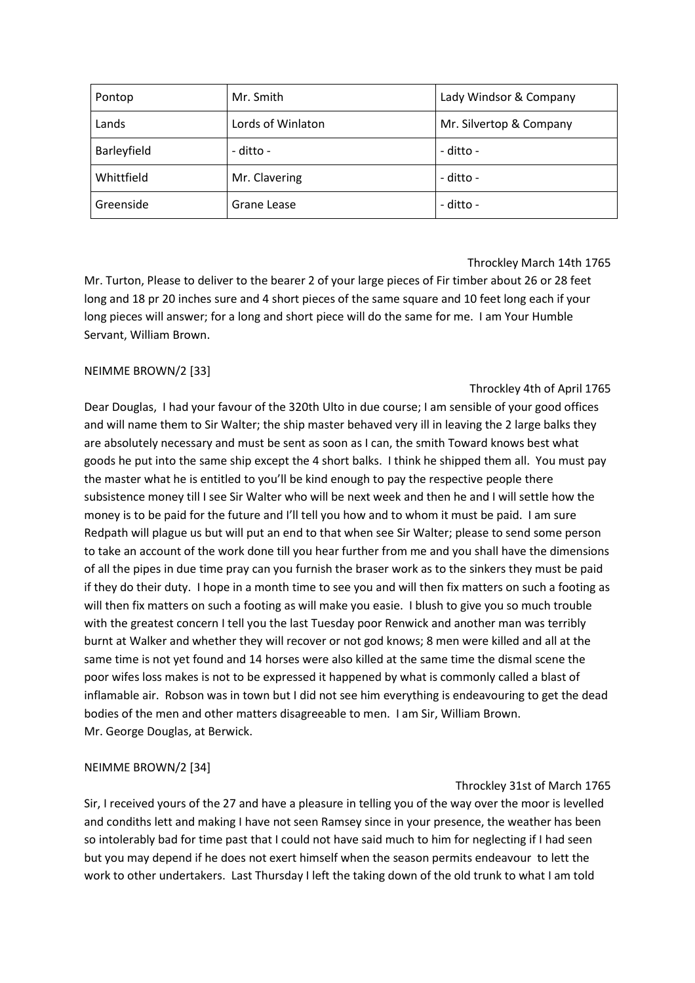| Pontop      | Mr. Smith         | Lady Windsor & Company  |
|-------------|-------------------|-------------------------|
| Lands       | Lords of Winlaton | Mr. Silvertop & Company |
| Barleyfield | - ditto -         | - ditto -               |
| Whittfield  | Mr. Clavering     | - ditto -               |
| Greenside   | Grane Lease       | - ditto -               |

# Throckley March 14th 1765

Mr. Turton, Please to deliver to the bearer 2 of your large pieces of Fir timber about 26 or 28 feet long and 18 pr 20 inches sure and 4 short pieces of the same square and 10 feet long each if your long pieces will answer; for a long and short piece will do the same for me. I am Your Humble Servant, William Brown.

# NEIMME BROWN/2 [33]

# Throckley 4th of April 1765

Dear Douglas, I had your favour of the 320th Ulto in due course; I am sensible of your good offices and will name them to Sir Walter; the ship master behaved very ill in leaving the 2 large balks they are absolutely necessary and must be sent as soon as I can, the smith Toward knows best what goods he put into the same ship except the 4 short balks. I think he shipped them all. You must pay the master what he is entitled to you'll be kind enough to pay the respective people there subsistence money till I see Sir Walter who will be next week and then he and I will settle how the money is to be paid for the future and I'll tell you how and to whom it must be paid. I am sure Redpath will plague us but will put an end to that when see Sir Walter; please to send some person to take an account of the work done till you hear further from me and you shall have the dimensions of all the pipes in due time pray can you furnish the braser work as to the sinkers they must be paid if they do their duty. I hope in a month time to see you and will then fix matters on such a footing as will then fix matters on such a footing as will make you easie. I blush to give you so much trouble with the greatest concern I tell you the last Tuesday poor Renwick and another man was terribly burnt at Walker and whether they will recover or not god knows; 8 men were killed and all at the same time is not yet found and 14 horses were also killed at the same time the dismal scene the poor wifes loss makes is not to be expressed it happened by what is commonly called a blast of inflamable air. Robson was in town but I did not see him everything is endeavouring to get the dead bodies of the men and other matters disagreeable to men. I am Sir, William Brown. Mr. George Douglas, at Berwick.

# NEIMME BROWN/2 [34]

# Throckley 31st of March 1765

Sir, I received yours of the 27 and have a pleasure in telling you of the way over the moor is levelled and condiths lett and making I have not seen Ramsey since in your presence, the weather has been so intolerably bad for time past that I could not have said much to him for neglecting if I had seen but you may depend if he does not exert himself when the season permits endeavour to lett the work to other undertakers. Last Thursday I left the taking down of the old trunk to what I am told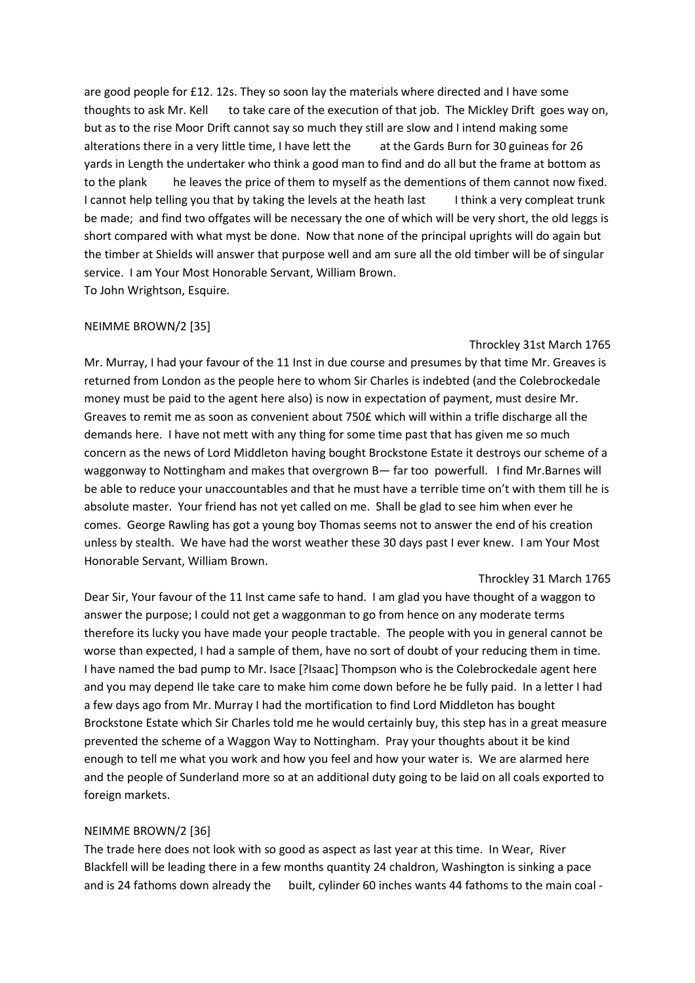are good people for £12. 12s. They so soon lay the materials where directed and I have some thoughts to ask Mr. Kell to take care of the execution of that job. The Mickley Drift goes way on, but as to the rise Moor Drift cannot say so much they still are slow and I intend making some alterations there in a very little time, I have lett the at the Gards Burn for 30 guineas for 26 yards in Length the undertaker who think a good man to find and do all but the frame at bottom as to the plank he leaves the price of them to myself as the dementions of them cannot now fixed. I cannot help telling you that by taking the levels at the heath last Ithink a very compleat trunk be made; and find two offgates will be necessary the one of which will be very short, the old leggs is short compared with what myst be done. Now that none of the principal uprights will do again but the timber at Shields will answer that purpose well and am sure all the old timber will be of singular service. I am Your Most Honorable Servant, William Brown. To John Wrightson, Esquire.

#### NEIMME BROWN/2 [35]

#### Throckley 31st March 1765

Mr. Murray, I had your favour of the 11 Inst in due course and presumes by that time Mr. Greaves is returned from London as the people here to whom Sir Charles is indebted (and the Colebrockedale money must be paid to the agent here also) is now in expectation of payment, must desire Mr. Greaves to remit me as soon as convenient about 750£ which will within a trifle discharge all the demands here. I have not mett with any thing for some time past that has given me so much concern as the news of Lord Middleton having bought Brockstone Estate it destroys our scheme of a waggonway to Nottingham and makes that overgrown B— far too powerfull. I find Mr.Barnes will be able to reduce your unaccountables and that he must have a terrible time on't with them till he is absolute master. Your friend has not yet called on me. Shall be glad to see him when ever he comes. George Rawling has got a young boy Thomas seems not to answer the end of his creation unless by stealth. We have had the worst weather these 30 days past I ever knew. I am Your Most Honorable Servant, William Brown.

#### Throckley 31 March 1765

Dear Sir, Your favour of the 11 Inst came safe to hand. I am glad you have thought of a waggon to answer the purpose; I could not get a waggonman to go from hence on any moderate terms therefore its lucky you have made your people tractable. The people with you in general cannot be worse than expected, I had a sample of them, have no sort of doubt of your reducing them in time. I have named the bad pump to Mr. Isace [?Isaac] Thompson who is the Colebrockedale agent here and you may depend Ile take care to make him come down before he be fully paid. In a letter I had a few days ago from Mr. Murray I had the mortification to find Lord Middleton has bought Brockstone Estate which Sir Charles told me he would certainly buy, this step has in a great measure prevented the scheme of a Waggon Way to Nottingham. Pray your thoughts about it be kind enough to tell me what you work and how you feel and how your water is. We are alarmed here and the people of Sunderland more so at an additional duty going to be laid on all coals exported to foreign markets.

#### NEIMME BROWN/2 [36]

The trade here does not look with so good as aspect as last year at this time. In Wear, River Blackfell will be leading there in a few months quantity 24 chaldron, Washington is sinking a pace and is 24 fathoms down already the built, cylinder 60 inches wants 44 fathoms to the main coal -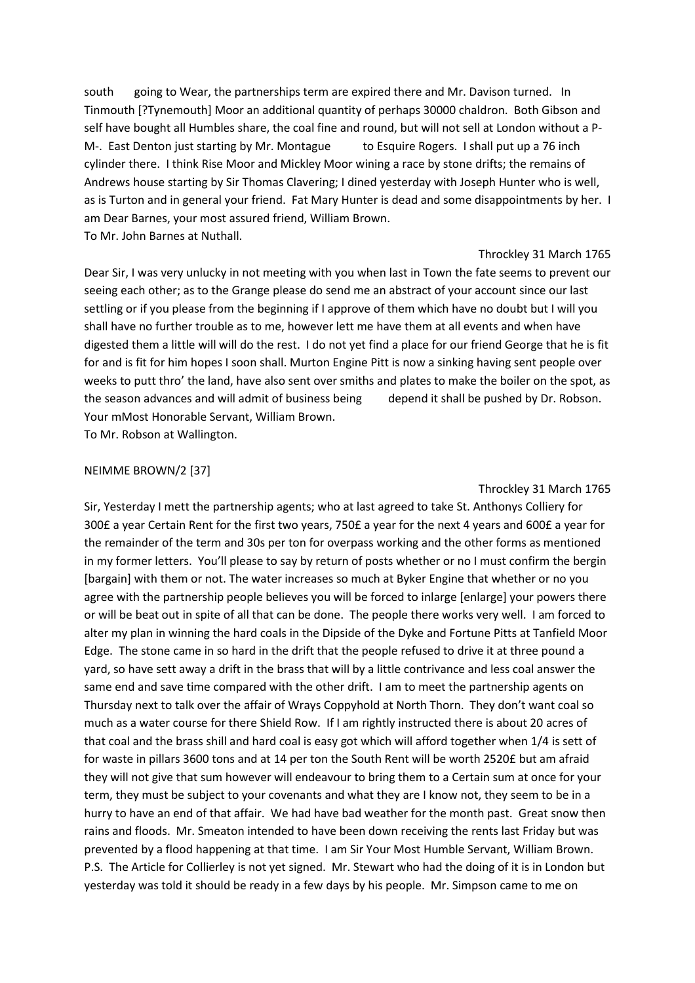south going to Wear, the partnerships term are expired there and Mr. Davison turned. In Tinmouth [?Tynemouth] Moor an additional quantity of perhaps 30000 chaldron. Both Gibson and self have bought all Humbles share, the coal fine and round, but will not sell at London without a P-M-. East Denton just starting by Mr. Montague to Esquire Rogers. I shall put up a 76 inch cylinder there. I think Rise Moor and Mickley Moor wining a race by stone drifts; the remains of Andrews house starting by Sir Thomas Clavering; I dined yesterday with Joseph Hunter who is well, as is Turton and in general your friend. Fat Mary Hunter is dead and some disappointments by her. I am Dear Barnes, your most assured friend, William Brown. To Mr. John Barnes at Nuthall.

#### Throckley 31 March 1765

Dear Sir, I was very unlucky in not meeting with you when last in Town the fate seems to prevent our seeing each other; as to the Grange please do send me an abstract of your account since our last settling or if you please from the beginning if I approve of them which have no doubt but I will you shall have no further trouble as to me, however lett me have them at all events and when have digested them a little will will do the rest. I do not yet find a place for our friend George that he is fit for and is fit for him hopes I soon shall. Murton Engine Pitt is now a sinking having sent people over weeks to putt thro' the land, have also sent over smiths and plates to make the boiler on the spot, as the season advances and will admit of business being depend it shall be pushed by Dr. Robson. Your mMost Honorable Servant, William Brown. To Mr. Robson at Wallington.

#### NEIMME BROWN/2 [37]

#### Throckley 31 March 1765

Sir, Yesterday I mett the partnership agents; who at last agreed to take St. Anthonys Colliery for 300£ a year Certain Rent for the first two years, 750£ a year for the next 4 years and 600£ a year for the remainder of the term and 30s per ton for overpass working and the other forms as mentioned in my former letters. You'll please to say by return of posts whether or no I must confirm the bergin [bargain] with them or not. The water increases so much at Byker Engine that whether or no you agree with the partnership people believes you will be forced to inlarge [enlarge] your powers there or will be beat out in spite of all that can be done. The people there works very well. I am forced to alter my plan in winning the hard coals in the Dipside of the Dyke and Fortune Pitts at Tanfield Moor Edge. The stone came in so hard in the drift that the people refused to drive it at three pound a yard, so have sett away a drift in the brass that will by a little contrivance and less coal answer the same end and save time compared with the other drift. I am to meet the partnership agents on Thursday next to talk over the affair of Wrays Coppyhold at North Thorn. They don't want coal so much as a water course for there Shield Row. If I am rightly instructed there is about 20 acres of that coal and the brass shill and hard coal is easy got which will afford together when 1/4 is sett of for waste in pillars 3600 tons and at 14 per ton the South Rent will be worth 2520£ but am afraid they will not give that sum however will endeavour to bring them to a Certain sum at once for your term, they must be subject to your covenants and what they are I know not, they seem to be in a hurry to have an end of that affair. We had have bad weather for the month past. Great snow then rains and floods. Mr. Smeaton intended to have been down receiving the rents last Friday but was prevented by a flood happening at that time. I am Sir Your Most Humble Servant, William Brown. P.S. The Article for Collierley is not yet signed. Mr. Stewart who had the doing of it is in London but yesterday was told it should be ready in a few days by his people. Mr. Simpson came to me on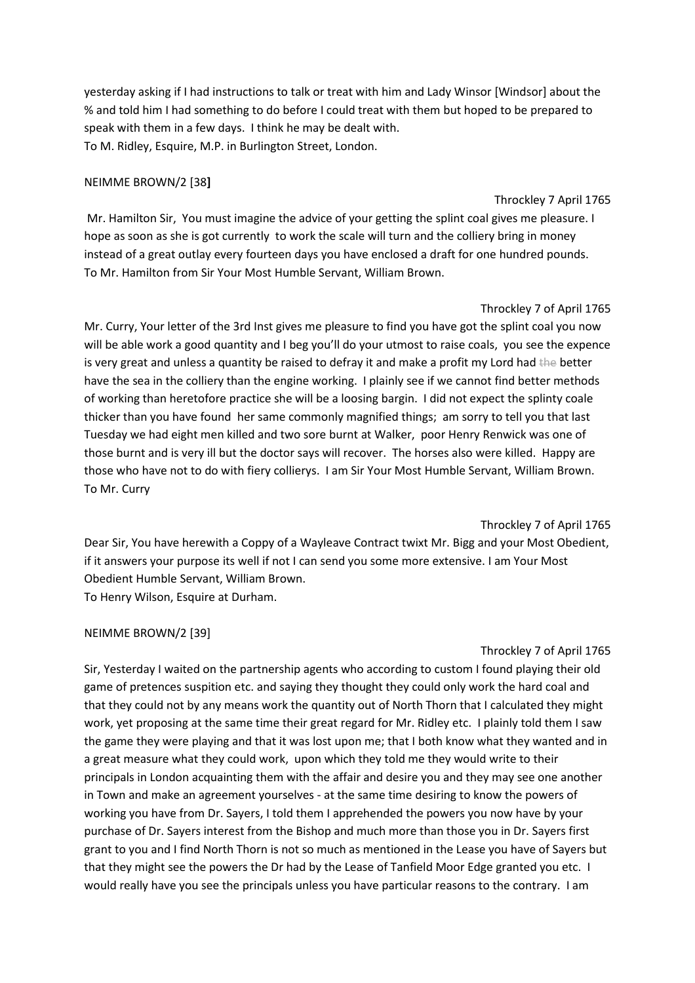yesterday asking if I had instructions to talk or treat with him and Lady Winsor [Windsor] about the % and told him I had something to do before I could treat with them but hoped to be prepared to speak with them in a few days. I think he may be dealt with. To M. Ridley, Esquire, M.P. in Burlington Street, London.

#### NEIMME BROWN/2 [38**]**

#### Throckley 7 April 1765

Mr. Hamilton Sir, You must imagine the advice of your getting the splint coal gives me pleasure. I hope as soon as she is got currently to work the scale will turn and the colliery bring in money instead of a great outlay every fourteen days you have enclosed a draft for one hundred pounds. To Mr. Hamilton from Sir Your Most Humble Servant, William Brown.

### Throckley 7 of April 1765

Mr. Curry, Your letter of the 3rd Inst gives me pleasure to find you have got the splint coal you now will be able work a good quantity and I beg you'll do your utmost to raise coals, you see the expence is very great and unless a quantity be raised to defray it and make a profit my Lord had the better have the sea in the colliery than the engine working. I plainly see if we cannot find better methods of working than heretofore practice she will be a loosing bargin. I did not expect the splinty coale thicker than you have found her same commonly magnified things; am sorry to tell you that last Tuesday we had eight men killed and two sore burnt at Walker, poor Henry Renwick was one of those burnt and is very ill but the doctor says will recover. The horses also were killed. Happy are those who have not to do with fiery collierys. I am Sir Your Most Humble Servant, William Brown. To Mr. Curry

# Throckley 7 of April 1765

Dear Sir, You have herewith a Coppy of a Wayleave Contract twixt Mr. Bigg and your Most Obedient, if it answers your purpose its well if not I can send you some more extensive. I am Your Most Obedient Humble Servant, William Brown. To Henry Wilson, Esquire at Durham.

#### NEIMME BROWN/2 [39]

# Throckley 7 of April 1765

Sir, Yesterday I waited on the partnership agents who according to custom I found playing their old game of pretences suspition etc. and saying they thought they could only work the hard coal and that they could not by any means work the quantity out of North Thorn that I calculated they might work, yet proposing at the same time their great regard for Mr. Ridley etc. I plainly told them I saw the game they were playing and that it was lost upon me; that I both know what they wanted and in a great measure what they could work, upon which they told me they would write to their principals in London acquainting them with the affair and desire you and they may see one another in Town and make an agreement yourselves - at the same time desiring to know the powers of working you have from Dr. Sayers, I told them I apprehended the powers you now have by your purchase of Dr. Sayers interest from the Bishop and much more than those you in Dr. Sayers first grant to you and I find North Thorn is not so much as mentioned in the Lease you have of Sayers but that they might see the powers the Dr had by the Lease of Tanfield Moor Edge granted you etc. I would really have you see the principals unless you have particular reasons to the contrary. I am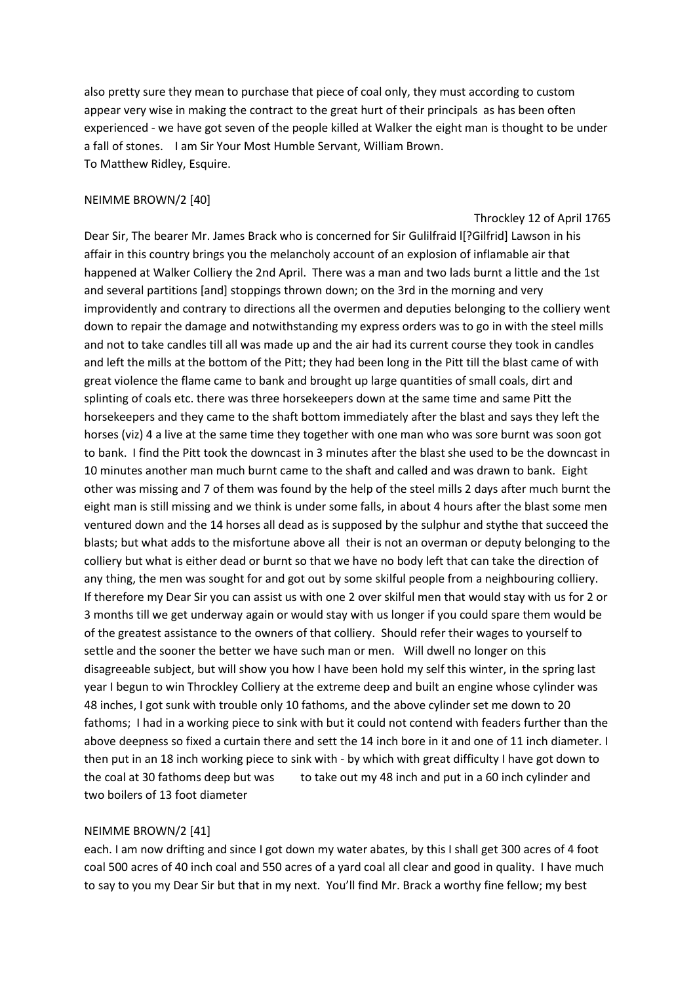also pretty sure they mean to purchase that piece of coal only, they must according to custom appear very wise in making the contract to the great hurt of their principals as has been often experienced - we have got seven of the people killed at Walker the eight man is thought to be under a fall of stones. I am Sir Your Most Humble Servant, William Brown. To Matthew Ridley, Esquire.

#### NEIMME BROWN/2 [40]

#### Throckley 12 of April 1765

Dear Sir, The bearer Mr. James Brack who is concerned for Sir Gulilfraid l[?Gilfrid] Lawson in his affair in this country brings you the melancholy account of an explosion of inflamable air that happened at Walker Colliery the 2nd April. There was a man and two lads burnt a little and the 1st and several partitions [and] stoppings thrown down; on the 3rd in the morning and very improvidently and contrary to directions all the overmen and deputies belonging to the colliery went down to repair the damage and notwithstanding my express orders was to go in with the steel mills and not to take candles till all was made up and the air had its current course they took in candles and left the mills at the bottom of the Pitt; they had been long in the Pitt till the blast came of with great violence the flame came to bank and brought up large quantities of small coals, dirt and splinting of coals etc. there was three horsekeepers down at the same time and same Pitt the horsekeepers and they came to the shaft bottom immediately after the blast and says they left the horses (viz) 4 a live at the same time they together with one man who was sore burnt was soon got to bank. I find the Pitt took the downcast in 3 minutes after the blast she used to be the downcast in 10 minutes another man much burnt came to the shaft and called and was drawn to bank. Eight other was missing and 7 of them was found by the help of the steel mills 2 days after much burnt the eight man is still missing and we think is under some falls, in about 4 hours after the blast some men ventured down and the 14 horses all dead as is supposed by the sulphur and stythe that succeed the blasts; but what adds to the misfortune above all their is not an overman or deputy belonging to the colliery but what is either dead or burnt so that we have no body left that can take the direction of any thing, the men was sought for and got out by some skilful people from a neighbouring colliery. If therefore my Dear Sir you can assist us with one 2 over skilful men that would stay with us for 2 or 3 months till we get underway again or would stay with us longer if you could spare them would be of the greatest assistance to the owners of that colliery. Should refer their wages to yourself to settle and the sooner the better we have such man or men. Will dwell no longer on this disagreeable subject, but will show you how I have been hold my self this winter, in the spring last year I begun to win Throckley Colliery at the extreme deep and built an engine whose cylinder was 48 inches, I got sunk with trouble only 10 fathoms, and the above cylinder set me down to 20 fathoms; I had in a working piece to sink with but it could not contend with feaders further than the above deepness so fixed a curtain there and sett the 14 inch bore in it and one of 11 inch diameter. I then put in an 18 inch working piece to sink with - by which with great difficulty I have got down to the coal at 30 fathoms deep but was to take out my 48 inch and put in a 60 inch cylinder and two boilers of 13 foot diameter

#### NEIMME BROWN/2 [41]

each. I am now drifting and since I got down my water abates, by this I shall get 300 acres of 4 foot coal 500 acres of 40 inch coal and 550 acres of a yard coal all clear and good in quality. I have much to say to you my Dear Sir but that in my next. You'll find Mr. Brack a worthy fine fellow; my best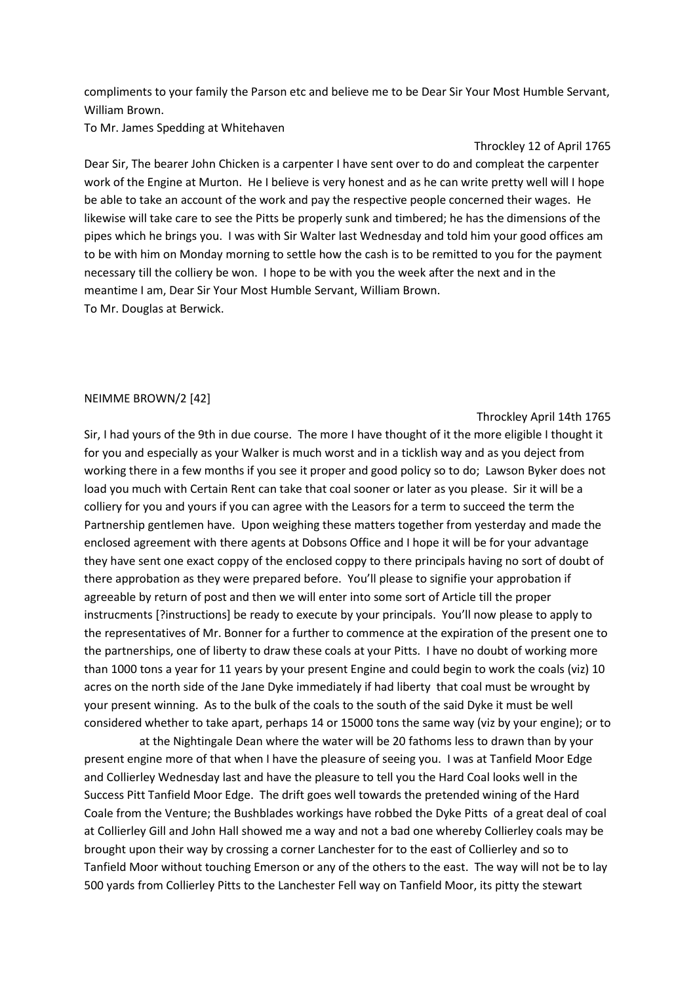compliments to your family the Parson etc and believe me to be Dear Sir Your Most Humble Servant, William Brown.

To Mr. James Spedding at Whitehaven

#### Throckley 12 of April 1765

Dear Sir, The bearer John Chicken is a carpenter I have sent over to do and compleat the carpenter work of the Engine at Murton. He I believe is very honest and as he can write pretty well will I hope be able to take an account of the work and pay the respective people concerned their wages. He likewise will take care to see the Pitts be properly sunk and timbered; he has the dimensions of the pipes which he brings you. I was with Sir Walter last Wednesday and told him your good offices am to be with him on Monday morning to settle how the cash is to be remitted to you for the payment necessary till the colliery be won. I hope to be with you the week after the next and in the meantime I am, Dear Sir Your Most Humble Servant, William Brown. To Mr. Douglas at Berwick.

#### NEIMME BROWN/2 [42]

Throckley April 14th 1765

Sir, I had yours of the 9th in due course. The more I have thought of it the more eligible I thought it for you and especially as your Walker is much worst and in a ticklish way and as you deject from working there in a few months if you see it proper and good policy so to do; Lawson Byker does not load you much with Certain Rent can take that coal sooner or later as you please. Sir it will be a colliery for you and yours if you can agree with the Leasors for a term to succeed the term the Partnership gentlemen have. Upon weighing these matters together from yesterday and made the enclosed agreement with there agents at Dobsons Office and I hope it will be for your advantage they have sent one exact coppy of the enclosed coppy to there principals having no sort of doubt of there approbation as they were prepared before. You'll please to signifie your approbation if agreeable by return of post and then we will enter into some sort of Article till the proper instrucments [?instructions] be ready to execute by your principals. You'll now please to apply to the representatives of Mr. Bonner for a further to commence at the expiration of the present one to the partnerships, one of liberty to draw these coals at your Pitts. I have no doubt of working more than 1000 tons a year for 11 years by your present Engine and could begin to work the coals (viz) 10 acres on the north side of the Jane Dyke immediately if had liberty that coal must be wrought by your present winning. As to the bulk of the coals to the south of the said Dyke it must be well considered whether to take apart, perhaps 14 or 15000 tons the same way (viz by your engine); or to

 at the Nightingale Dean where the water will be 20 fathoms less to drawn than by your present engine more of that when I have the pleasure of seeing you. I was at Tanfield Moor Edge and Collierley Wednesday last and have the pleasure to tell you the Hard Coal looks well in the Success Pitt Tanfield Moor Edge. The drift goes well towards the pretended wining of the Hard Coale from the Venture; the Bushblades workings have robbed the Dyke Pitts of a great deal of coal at Collierley Gill and John Hall showed me a way and not a bad one whereby Collierley coals may be brought upon their way by crossing a corner Lanchester for to the east of Collierley and so to Tanfield Moor without touching Emerson or any of the others to the east. The way will not be to lay 500 yards from Collierley Pitts to the Lanchester Fell way on Tanfield Moor, its pitty the stewart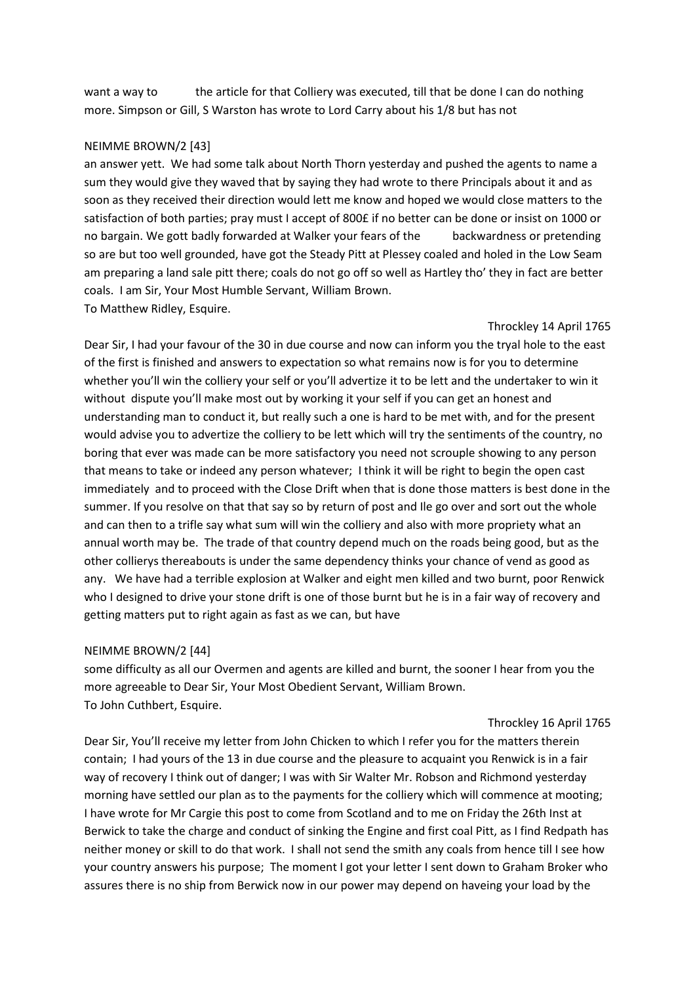want a way to the article for that Colliery was executed, till that be done I can do nothing more. Simpson or Gill, S Warston has wrote to Lord Carry about his 1/8 but has not

### NEIMME BROWN/2 [43]

an answer yett. We had some talk about North Thorn yesterday and pushed the agents to name a sum they would give they waved that by saying they had wrote to there Principals about it and as soon as they received their direction would lett me know and hoped we would close matters to the satisfaction of both parties; pray must I accept of 800£ if no better can be done or insist on 1000 or no bargain. We gott badly forwarded at Walker your fears of the backwardness or pretending so are but too well grounded, have got the Steady Pitt at Plessey coaled and holed in the Low Seam am preparing a land sale pitt there; coals do not go off so well as Hartley tho' they in fact are better coals. I am Sir, Your Most Humble Servant, William Brown. To Matthew Ridley, Esquire.

#### Throckley 14 April 1765

Dear Sir, I had your favour of the 30 in due course and now can inform you the tryal hole to the east of the first is finished and answers to expectation so what remains now is for you to determine whether you'll win the colliery your self or you'll advertize it to be lett and the undertaker to win it without dispute you'll make most out by working it your self if you can get an honest and understanding man to conduct it, but really such a one is hard to be met with, and for the present would advise you to advertize the colliery to be lett which will try the sentiments of the country, no boring that ever was made can be more satisfactory you need not scrouple showing to any person that means to take or indeed any person whatever; I think it will be right to begin the open cast immediately and to proceed with the Close Drift when that is done those matters is best done in the summer. If you resolve on that that say so by return of post and Ile go over and sort out the whole and can then to a trifle say what sum will win the colliery and also with more propriety what an annual worth may be. The trade of that country depend much on the roads being good, but as the other collierys thereabouts is under the same dependency thinks your chance of vend as good as any. We have had a terrible explosion at Walker and eight men killed and two burnt, poor Renwick who I designed to drive your stone drift is one of those burnt but he is in a fair way of recovery and getting matters put to right again as fast as we can, but have

#### NEIMME BROWN/2 [44]

some difficulty as all our Overmen and agents are killed and burnt, the sooner I hear from you the more agreeable to Dear Sir, Your Most Obedient Servant, William Brown. To John Cuthbert, Esquire.

#### Throckley 16 April 1765

Dear Sir, You'll receive my letter from John Chicken to which I refer you for the matters therein contain; I had yours of the 13 in due course and the pleasure to acquaint you Renwick is in a fair way of recovery I think out of danger; I was with Sir Walter Mr. Robson and Richmond yesterday morning have settled our plan as to the payments for the colliery which will commence at mooting; I have wrote for Mr Cargie this post to come from Scotland and to me on Friday the 26th Inst at Berwick to take the charge and conduct of sinking the Engine and first coal Pitt, as I find Redpath has neither money or skill to do that work. I shall not send the smith any coals from hence till I see how your country answers his purpose; The moment I got your letter I sent down to Graham Broker who assures there is no ship from Berwick now in our power may depend on haveing your load by the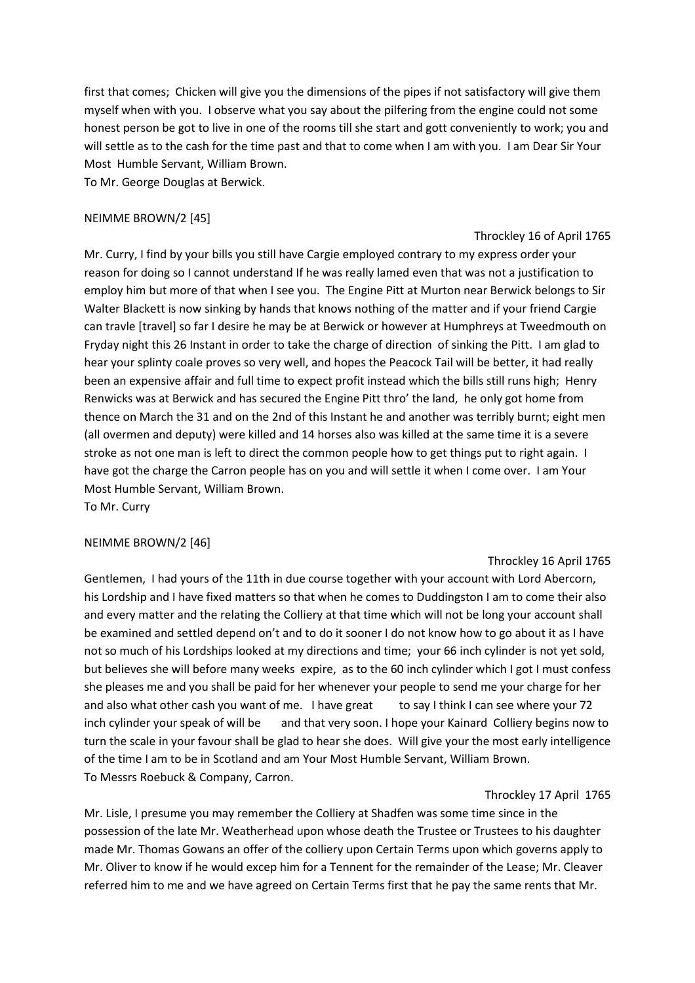first that comes; Chicken will give you the dimensions of the pipes if not satisfactory will give them myself when with you. I observe what you say about the pilfering from the engine could not some honest person be got to live in one of the rooms till she start and gott conveniently to work; you and will settle as to the cash for the time past and that to come when I am with you. I am Dear Sir Your Most Humble Servant, William Brown.

To Mr. George Douglas at Berwick.

# NEIMME BROWN/2 [45]

### Throckley 16 of April 1765

Mr. Curry, I find by your bills you still have Cargie employed contrary to my express order your reason for doing so I cannot understand If he was really lamed even that was not a justification to employ him but more of that when I see you. The Engine Pitt at Murton near Berwick belongs to Sir Walter Blackett is now sinking by hands that knows nothing of the matter and if your friend Cargie can travle [travel] so far I desire he may be at Berwick or however at Humphreys at Tweedmouth on Fryday night this 26 Instant in order to take the charge of direction of sinking the Pitt. I am glad to hear your splinty coale proves so very well, and hopes the Peacock Tail will be better, it had really been an expensive affair and full time to expect profit instead which the bills still runs high; Henry Renwicks was at Berwick and has secured the Engine Pitt thro' the land, he only got home from thence on March the 31 and on the 2nd of this Instant he and another was terribly burnt; eight men (all overmen and deputy) were killed and 14 horses also was killed at the same time it is a severe stroke as not one man is left to direct the common people how to get things put to right again. I have got the charge the Carron people has on you and will settle it when I come over. I am Your Most Humble Servant, William Brown.

To Mr. Curry

# NEIMME BROWN/2 [46]

# Throckley 16 April 1765

Gentlemen, I had yours of the 11th in due course together with your account with Lord Abercorn, his Lordship and I have fixed matters so that when he comes to Duddingston I am to come their also and every matter and the relating the Colliery at that time which will not be long your account shall be examined and settled depend on't and to do it sooner I do not know how to go about it as I have not so much of his Lordships looked at my directions and time; your 66 inch cylinder is not yet sold, but believes she will before many weeks expire, as to the 60 inch cylinder which I got I must confess she pleases me and you shall be paid for her whenever your people to send me your charge for her and also what other cash you want of me. I have great to say I think I can see where your 72 inch cylinder your speak of will be and that very soon. I hope your Kainard Colliery begins now to turn the scale in your favour shall be glad to hear she does. Will give your the most early intelligence of the time I am to be in Scotland and am Your Most Humble Servant, William Brown. To Messrs Roebuck & Company, Carron.

Throckley 17 April 1765

Mr. Lisle, I presume you may remember the Colliery at Shadfen was some time since in the possession of the late Mr. Weatherhead upon whose death the Trustee or Trustees to his daughter made Mr. Thomas Gowans an offer of the colliery upon Certain Terms upon which governs apply to Mr. Oliver to know if he would excep him for a Tennent for the remainder of the Lease; Mr. Cleaver referred him to me and we have agreed on Certain Terms first that he pay the same rents that Mr.